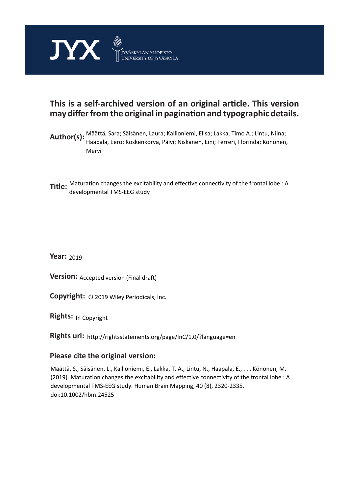

# **This is a self-archived version of an original article. This version may differ from the original in pagination and typographic details.**

- **Author(s):**  Määttä, Sara; Säisänen, Laura; Kallioniemi, Elisa; Lakka, Timo A.; Lintu, Niina; Haapala, Eero; Koskenkorva, Päivi; Niskanen, Eini; Ferreri, Florinda; Könönen, Mervi
- **Title:** Maturation changes the excitability and effective connectivity of the frontal lobe : A developmental TMS-EEG study

**Year:**  2019

**Version: Accepted version (Final draft)** 

**Version:** Accepted version (Final draft)<br>**Copyright:** © 2019 Wiley Periodicals, Inc.

**Rights:** In Copyright

**Rights url:**  http://rightsstatements.org/page/InC/1.0/?language=en

# **Please cite the original version:**

Määttä, S., Säisänen, L., Kallioniemi, E., Lakka, T. A., Lintu, N., Haapala, E., . . . Könönen, M. (2019). Maturation changes the excitability and effective connectivity of the frontal lobe : A developmental TMS-EEG study. Human Brain Mapping, 40 (8), 2320-2335. doi:10.1002/hbm.24525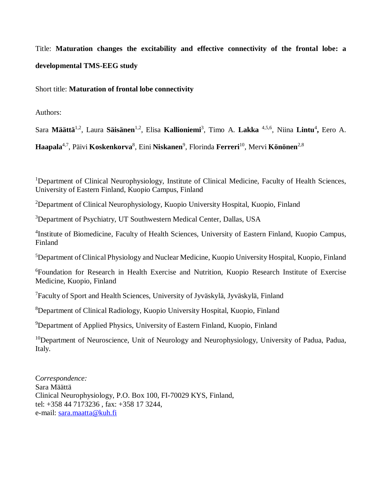Title: **Maturation changes the excitability and effective connectivity of the frontal lobe: a developmental TMS-EEG study**

Short title: **Maturation of frontal lobe connectivity**

Authors:

Sara **Määttä**1,2, Laura **Säisänen**1,2, Elisa **Kallioniemi**<sup>3</sup> , Timo A. **Lakka** 4,5,6 , Niina **Lintu**<sup>4</sup> **,** Eero A.

**Haapala**4,7 , Päivi **Koskenkorva**<sup>8</sup> , Eini **Niskanen**<sup>9</sup> , Florinda **Ferreri**<sup>10</sup>, Mervi **Könönen**2,8

<sup>1</sup>Department of Clinical Neurophysiology, Institute of Clinical Medicine, Faculty of Health Sciences, University of Eastern Finland, Kuopio Campus, Finland

<sup>2</sup>Department of Clinical Neurophysiology, Kuopio University Hospital, Kuopio, Finland

<sup>3</sup>Department of Psychiatry, UT Southwestern Medical Center, Dallas, USA

<sup>4</sup>Institute of Biomedicine, Faculty of Health Sciences, University of Eastern Finland, Kuopio Campus, Finland

<sup>5</sup>Department of Clinical Physiology and Nuclear Medicine, Kuopio University Hospital, Kuopio, Finland

<sup>6</sup>Foundation for Research in Health Exercise and Nutrition, Kuopio Research Institute of Exercise Medicine, Kuopio, Finland

<sup>7</sup>Faculty of Sport and Health Sciences, University of Jyväskylä, Jyväskylä, Finland

<sup>8</sup>Department of Clinical Radiology, Kuopio University Hospital, Kuopio, Finland

<sup>9</sup>Department of Applied Physics, University of Eastern Finland, Kuopio, Finland

<sup>10</sup>Department of Neuroscience, Unit of Neurology and Neurophysiology, University of Padua, Padua, Italy.

C*orrespondence:* Sara Määttä Clinical Neurophysiology, P.O. Box 100, FI-70029 KYS, Finland, tel: +358 44 7173236 , fax: +358 17 3244, e-mail: [sara.maatta@kuh.fi](mailto:sara.maatta@kuh.fi)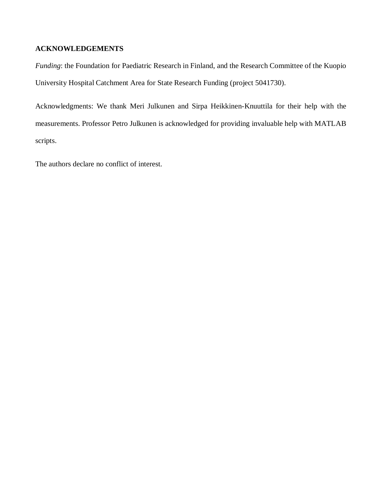# **ACKNOWLEDGEMENTS**

*Funding*: the Foundation for Paediatric Research in Finland, and the Research Committee of the Kuopio University Hospital Catchment Area for State Research Funding (project 5041730).

Acknowledgments: We thank Meri Julkunen and Sirpa Heikkinen-Knuuttila for their help with the measurements. Professor Petro Julkunen is acknowledged for providing invaluable help with MATLAB scripts.

The authors declare no conflict of interest.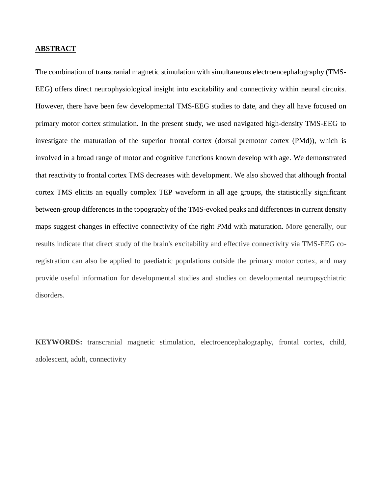# **ABSTRACT**

The combination of transcranial magnetic stimulation with simultaneous electroencephalography (TMS-EEG) offers direct neurophysiological insight into excitability and connectivity within neural circuits. However, there have been few developmental TMS-EEG studies to date, and they all have focused on primary motor cortex stimulation. In the present study, we used navigated high-density TMS-EEG to investigate the maturation of the superior frontal cortex (dorsal premotor cortex (PMd)), which is involved in a broad range of motor and cognitive functions known develop with age. We demonstrated that reactivity to frontal cortex TMS decreases with development. We also showed that although frontal cortex TMS elicits an equally complex TEP waveform in all age groups, the statistically significant between-group differences in the topography of the TMS-evoked peaks and differences in current density maps suggest changes in effective connectivity of the right PMd with maturation. More generally, our results indicate that direct study of the brain's excitability and effective connectivity via TMS-EEG coregistration can also be applied to paediatric populations outside the primary motor cortex, and may provide useful information for developmental studies and studies on developmental neuropsychiatric disorders.

**KEYWORDS:** transcranial magnetic stimulation, electroencephalography, frontal cortex, child, adolescent, adult, connectivity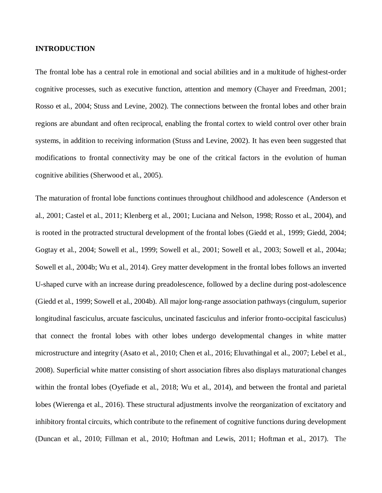#### **INTRODUCTION**

The frontal lobe has a central role in emotional and social abilities and in a multitude of highest-order cognitive processes, such as executive function, attention and memory (Chayer and Freedman, 2001; Rosso et al., 2004; Stuss and Levine, 2002). The connections between the frontal lobes and other brain regions are abundant and often reciprocal, enabling the frontal cortex to wield control over other brain systems, in addition to receiving information (Stuss and Levine, 2002). It has even been suggested that modifications to frontal connectivity may be one of the critical factors in the evolution of human cognitive abilities (Sherwood et al., 2005).

The maturation of frontal lobe functions continues throughout childhood and adolescence (Anderson et al., 2001; Castel et al., 2011; Klenberg et al., 2001; Luciana and Nelson, 1998; Rosso et al., 2004), and is rooted in the protracted structural development of the frontal lobes (Giedd et al., 1999; Giedd, 2004; Gogtay et al., 2004; Sowell et al., 1999; Sowell et al., 2001; Sowell et al., 2003; Sowell et al., 2004a; Sowell et al., 2004b; Wu et al., 2014). Grey matter development in the frontal lobes follows an inverted U-shaped curve with an increase during preadolescence, followed by a decline during post-adolescence (Giedd et al., 1999; Sowell et al., 2004b). All major long-range association pathways (cingulum, superior longitudinal fasciculus, arcuate fasciculus, uncinated fasciculus and inferior fronto-occipital fasciculus) that connect the frontal lobes with other lobes undergo developmental changes in white matter microstructure and integrity (Asato et al., 2010; Chen et al., 2016; Eluvathingal et al., 2007; Lebel et al., 2008). Superficial white matter consisting of short association fibres also displays maturational changes within the frontal lobes (Oyefiade et al., 2018; Wu et al., 2014), and between the frontal and parietal lobes (Wierenga et al., 2016). These structural adjustments involve the reorganization of excitatory and inhibitory frontal circuits, which contribute to the refinement of cognitive functions during development (Duncan et al., 2010; Fillman et al., 2010; Hoftman and Lewis, 2011; Hoftman et al., 2017). The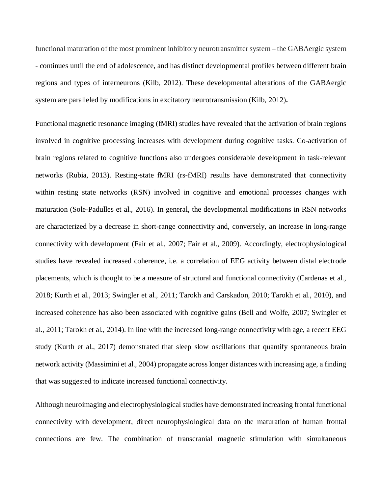functional maturation of the most prominent inhibitory neurotransmitter system – the GABAergic system - continues until the end of adolescence, and has distinct developmental profiles between different brain regions and types of interneurons (Kilb, 2012). These developmental alterations of the GABAergic system are paralleled by modifications in excitatory neurotransmission (Kilb, 2012)**.**

Functional magnetic resonance imaging (fMRI) studies have revealed that the activation of brain regions involved in cognitive processing increases with development during cognitive tasks. Co-activation of brain regions related to cognitive functions also undergoes considerable development in task-relevant networks (Rubia, 2013). Resting-state fMRI (rs-fMRI) results have demonstrated that connectivity within resting state networks (RSN) involved in cognitive and emotional processes changes with maturation (Sole-Padulles et al., 2016). In general, the developmental modifications in RSN networks are characterized by a decrease in short-range connectivity and, conversely, an increase in long-range connectivity with development (Fair et al., 2007; Fair et al., 2009). Accordingly, electrophysiological studies have revealed increased coherence, i.e. a correlation of EEG activity between distal electrode placements, which is thought to be a measure of structural and functional connectivity (Cardenas et al., 2018; Kurth et al., 2013; Swingler et al., 2011; Tarokh and Carskadon, 2010; Tarokh et al., 2010), and increased coherence has also been associated with cognitive gains (Bell and Wolfe, 2007; Swingler et al., 2011; Tarokh et al., 2014). In line with the increased long-range connectivity with age, a recent EEG study (Kurth et al., 2017) demonstrated that sleep slow oscillations that quantify spontaneous brain network activity (Massimini et al., 2004) propagate across longer distances with increasing age, a finding that was suggested to indicate increased functional connectivity.

Although neuroimaging and electrophysiological studies have demonstrated increasing frontal functional connectivity with development, direct neurophysiological data on the maturation of human frontal connections are few. The combination of transcranial magnetic stimulation with simultaneous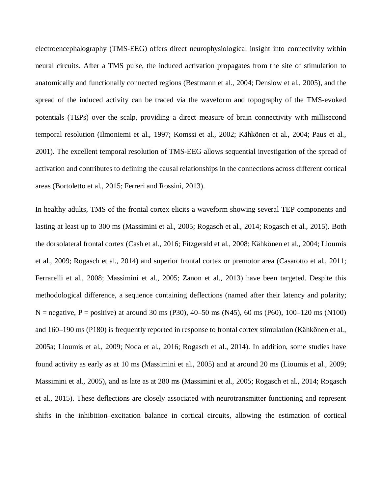electroencephalography (TMS-EEG) offers direct neurophysiological insight into connectivity within neural circuits. After a TMS pulse, the induced activation propagates from the site of stimulation to anatomically and functionally connected regions (Bestmann et al., 2004; Denslow et al., 2005), and the spread of the induced activity can be traced via the waveform and topography of the TMS-evoked potentials (TEPs) over the scalp, providing a direct measure of brain connectivity with millisecond temporal resolution (Ilmoniemi et al., 1997; Komssi et al., 2002; Kähkönen et al., 2004; Paus et al., 2001). The excellent temporal resolution of TMS-EEG allows sequential investigation of the spread of activation and contributes to defining the causal relationships in the connections across different cortical areas (Bortoletto et al., 2015; Ferreri and Rossini, 2013).

In healthy adults, TMS of the frontal cortex elicits a waveform showing several TEP components and lasting at least up to 300 ms (Massimini et al., 2005; Rogasch et al., 2014; Rogasch et al., 2015). Both the dorsolateral frontal cortex (Cash et al., 2016; Fitzgerald et al., 2008; Kähkönen et al., 2004; Lioumis et al., 2009; Rogasch et al., 2014) and superior frontal cortex or premotor area (Casarotto et al., 2011; Ferrarelli et al., 2008; Massimini et al., 2005; Zanon et al., 2013) have been targeted. Despite this methodological difference, a sequence containing deflections (named after their latency and polarity;  $N =$  negative, P = positive) at around 30 ms (P30), 40–50 ms (N45), 60 ms (P60), 100–120 ms (N100) and 160–190 ms (P180) is frequently reported in response to frontal cortex stimulation (Kähkönen et al., 2005a; Lioumis et al., 2009; Noda et al., 2016; Rogasch et al., 2014). In addition, some studies have found activity as early as at 10 ms (Massimini et al., 2005) and at around 20 ms (Lioumis et al., 2009; Massimini et al., 2005), and as late as at 280 ms (Massimini et al., 2005; Rogasch et al., 2014; Rogasch et al., 2015). These deflections are closely associated with neurotransmitter functioning and represent shifts in the inhibition–excitation balance in cortical circuits, allowing the estimation of cortical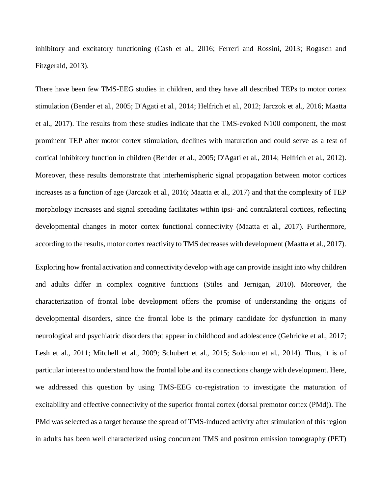inhibitory and excitatory functioning (Cash et al., 2016; Ferreri and Rossini, 2013; Rogasch and Fitzgerald, 2013).

There have been few TMS-EEG studies in children, and they have all described TEPs to motor cortex stimulation (Bender et al., 2005; D'Agati et al., 2014; Helfrich et al., 2012; Jarczok et al., 2016; Maatta et al., 2017). The results from these studies indicate that the TMS-evoked N100 component, the most prominent TEP after motor cortex stimulation, declines with maturation and could serve as a test of cortical inhibitory function in children (Bender et al., 2005; D'Agati et al., 2014; Helfrich et al., 2012). Moreover, these results demonstrate that interhemispheric signal propagation between motor cortices increases as a function of age (Jarczok et al., 2016; Maatta et al., 2017) and that the complexity of TEP morphology increases and signal spreading facilitates within ipsi- and contralateral cortices, reflecting developmental changes in motor cortex functional connectivity (Maatta et al., 2017). Furthermore, according to the results, motor cortex reactivity to TMS decreases with development (Maatta et al., 2017).

Exploring how frontal activation and connectivity develop with age can provide insight into why children and adults differ in complex cognitive functions (Stiles and Jernigan, 2010). Moreover, the characterization of frontal lobe development offers the promise of understanding the origins of developmental disorders, since the frontal lobe is the primary candidate for dysfunction in many neurological and psychiatric disorders that appear in childhood and adolescence (Gehricke et al., 2017; Lesh et al., 2011; Mitchell et al., 2009; Schubert et al., 2015; Solomon et al., 2014). Thus, it is of particular interest to understand how the frontal lobe and its connections change with development. Here, we addressed this question by using TMS-EEG co-registration to investigate the maturation of excitability and effective connectivity of the superior frontal cortex (dorsal premotor cortex (PMd)). The PMd was selected as a target because the spread of TMS-induced activity after stimulation of this region in adults has been well characterized using concurrent TMS and positron emission tomography (PET)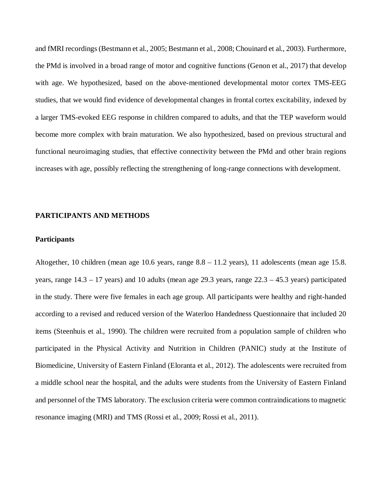and fMRI recordings (Bestmann et al., 2005; Bestmann et al., 2008; Chouinard et al., 2003). Furthermore, the PMd is involved in a broad range of motor and cognitive functions (Genon et al., 2017) that develop with age. We hypothesized, based on the above-mentioned developmental motor cortex TMS-EEG studies, that we would find evidence of developmental changes in frontal cortex excitability, indexed by a larger TMS-evoked EEG response in children compared to adults, and that the TEP waveform would become more complex with brain maturation. We also hypothesized, based on previous structural and functional neuroimaging studies, that effective connectivity between the PMd and other brain regions increases with age, possibly reflecting the strengthening of long-range connections with development.

#### **PARTICIPANTS AND METHODS**

#### **Participants**

Altogether, 10 children (mean age 10.6 years, range 8.8 – 11.2 years), 11 adolescents (mean age 15.8. years, range 14.3 – 17 years) and 10 adults (mean age 29.3 years, range 22.3 – 45.3 years) participated in the study. There were five females in each age group. All participants were healthy and right-handed according to a revised and reduced version of the Waterloo Handedness Questionnaire that included 20 items (Steenhuis et al., 1990). The children were recruited from a population sample of children who participated in the Physical Activity and Nutrition in Children (PANIC) study at the Institute of Biomedicine, University of Eastern Finland (Eloranta et al., 2012). The adolescents were recruited from a middle school near the hospital, and the adults were students from the University of Eastern Finland and personnel of the TMS laboratory. The exclusion criteria were common contraindications to magnetic resonance imaging (MRI) and TMS (Rossi et al., 2009; Rossi et al., 2011).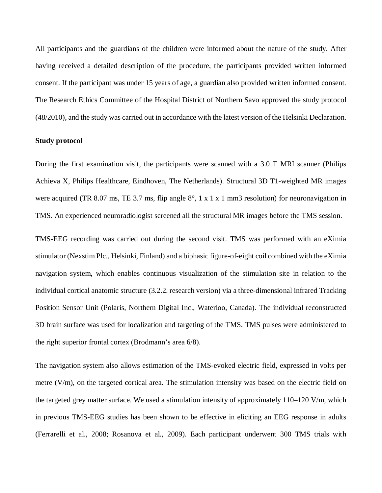All participants and the guardians of the children were informed about the nature of the study. After having received a detailed description of the procedure, the participants provided written informed consent. If the participant was under 15 years of age, a guardian also provided written informed consent. The Research Ethics Committee of the Hospital District of Northern Savo approved the study protocol (48/2010), and the study was carried out in accordance with the latest version of the Helsinki Declaration.

#### **Study protocol**

During the first examination visit, the participants were scanned with a 3.0 T MRI scanner (Philips Achieva X, Philips Healthcare, Eindhoven, The Netherlands). Structural 3D T1-weighted MR images were acquired (TR 8.07 ms, TE 3.7 ms, flip angle 8°, 1 x 1 x 1 mm3 resolution) for neuronavigation in TMS. An experienced neuroradiologist screened all the structural MR images before the TMS session.

TMS-EEG recording was carried out during the second visit. TMS was performed with an eXimia stimulator (Nexstim Plc., Helsinki, Finland) and a biphasic figure-of-eight coil combined with the eXimia navigation system, which enables continuous visualization of the stimulation site in relation to the individual cortical anatomic structure (3.2.2. research version) via a three-dimensional infrared Tracking Position Sensor Unit (Polaris, Northern Digital Inc., Waterloo, Canada). The individual reconstructed 3D brain surface was used for localization and targeting of the TMS. TMS pulses were administered to the right superior frontal cortex (Brodmann's area 6/8).

The navigation system also allows estimation of the TMS-evoked electric field, expressed in volts per metre (V/m), on the targeted cortical area. The stimulation intensity was based on the electric field on the targeted grey matter surface. We used a stimulation intensity of approximately 110–120 V/m, which in previous TMS-EEG studies has been shown to be effective in eliciting an EEG response in adults (Ferrarelli et al., 2008; Rosanova et al., 2009). Each participant underwent 300 TMS trials with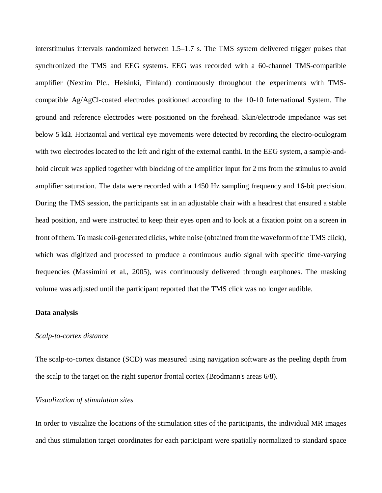interstimulus intervals randomized between 1.5–1.7 s. The TMS system delivered trigger pulses that synchronized the TMS and EEG systems. EEG was recorded with a 60-channel TMS-compatible amplifier (Nextim Plc., Helsinki, Finland) continuously throughout the experiments with TMScompatible Ag/AgCl-coated electrodes positioned according to the 10-10 International System. The ground and reference electrodes were positioned on the forehead. Skin/electrode impedance was set below 5 kΩ. Horizontal and vertical eye movements were detected by recording the electro-oculogram with two electrodes located to the left and right of the external canthi. In the EEG system, a sample-andhold circuit was applied together with blocking of the amplifier input for 2 ms from the stimulus to avoid amplifier saturation. The data were recorded with a 1450 Hz sampling frequency and 16-bit precision. During the TMS session, the participants sat in an adjustable chair with a headrest that ensured a stable head position, and were instructed to keep their eyes open and to look at a fixation point on a screen in front of them. To mask coil-generated clicks, white noise (obtained from the waveform of the TMS click), which was digitized and processed to produce a continuous audio signal with specific time-varying frequencies (Massimini et al., 2005), was continuously delivered through earphones. The masking volume was adjusted until the participant reported that the TMS click was no longer audible.

#### **Data analysis**

#### *Scalp-to-cortex distance*

The scalp-to-cortex distance (SCD) was measured using navigation software as the peeling depth from the scalp to the target on the right superior frontal cortex (Brodmann's areas 6/8).

## *Visualization of stimulation sites*

In order to visualize the locations of the stimulation sites of the participants, the individual MR images and thus stimulation target coordinates for each participant were spatially normalized to standard space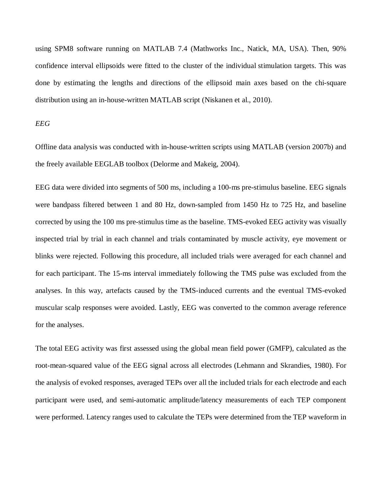using SPM8 software running on MATLAB 7.4 (Mathworks Inc., Natick, MA, USA). Then, 90% confidence interval ellipsoids were fitted to the cluster of the individual stimulation targets. This was done by estimating the lengths and directions of the ellipsoid main axes based on the chi-square distribution using an in-house-written MATLAB script (Niskanen et al., 2010).

# *EEG*

Offline data analysis was conducted with in-house-written scripts using MATLAB (version 2007b) and the freely available EEGLAB toolbox (Delorme and Makeig, 2004).

EEG data were divided into segments of 500 ms, including a 100-ms pre-stimulus baseline. EEG signals were bandpass filtered between 1 and 80 Hz, down-sampled from 1450 Hz to 725 Hz, and baseline corrected by using the 100 ms pre-stimulus time as the baseline. TMS-evoked EEG activity was visually inspected trial by trial in each channel and trials contaminated by muscle activity, eye movement or blinks were rejected. Following this procedure, all included trials were averaged for each channel and for each participant. The 15-ms interval immediately following the TMS pulse was excluded from the analyses. In this way, artefacts caused by the TMS-induced currents and the eventual TMS-evoked muscular scalp responses were avoided. Lastly, EEG was converted to the common average reference for the analyses.

The total EEG activity was first assessed using the global mean field power (GMFP), calculated as the root-mean-squared value of the EEG signal across all electrodes (Lehmann and Skrandies, 1980). For the analysis of evoked responses, averaged TEPs over all the included trials for each electrode and each participant were used, and semi-automatic amplitude/latency measurements of each TEP component were performed. Latency ranges used to calculate the TEPs were determined from the TEP waveform in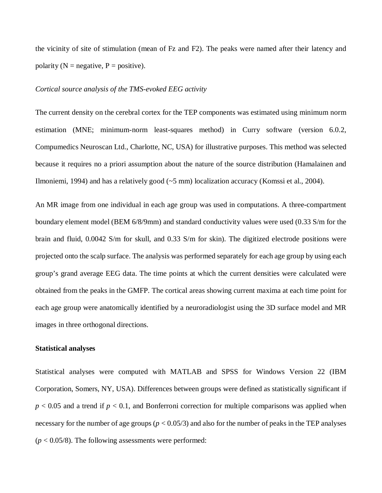the vicinity of site of stimulation (mean of Fz and F2). The peaks were named after their latency and polarity ( $N =$  negative,  $P =$  positive).

# *Cortical source analysis of the TMS-evoked EEG activity*

The current density on the cerebral cortex for the TEP components was estimated using minimum norm estimation (MNE; minimum-norm least-squares method) in Curry software (version 6.0.2, Compumedics Neuroscan Ltd., Charlotte, NC, USA) for illustrative purposes. This method was selected because it requires no a priori assumption about the nature of the source distribution (Hamalainen and Ilmoniemi, 1994) and has a relatively good (~5 mm) localization accuracy (Komssi et al., 2004).

An MR image from one individual in each age group was used in computations. A three-compartment boundary element model (BEM 6/8/9mm) and standard conductivity values were used (0.33 S/m for the brain and fluid, 0.0042 S/m for skull, and 0.33 S/m for skin). The digitized electrode positions were projected onto the scalp surface. The analysis was performed separately for each age group by using each group's grand average EEG data. The time points at which the current densities were calculated were obtained from the peaks in the GMFP. The cortical areas showing current maxima at each time point for each age group were anatomically identified by a neuroradiologist using the 3D surface model and MR images in three orthogonal directions.

# **Statistical analyses**

Statistical analyses were computed with MATLAB and SPSS for Windows Version 22 (IBM Corporation, Somers, NY, USA). Differences between groups were defined as statistically significant if  $p < 0.05$  and a trend if  $p < 0.1$ , and Bonferroni correction for multiple comparisons was applied when necessary for the number of age groups  $(p < 0.05/3)$  and also for the number of peaks in the TEP analyses  $(p < 0.05/8)$ . The following assessments were performed: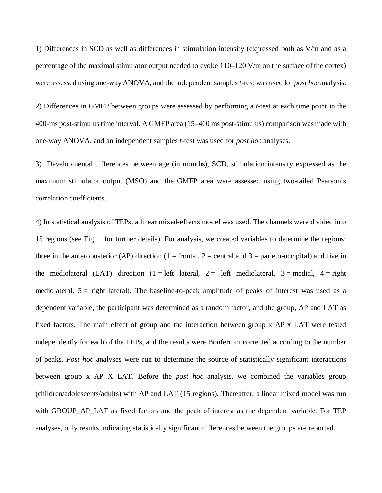1) Differences in SCD as well as differences in stimulation intensity (expressed both as V/m and as a percentage of the maximal stimulator output needed to evoke 110–120 V/m on the surface of the cortex) were assessed using one-way ANOVA, and the independent samples*t*-test was used for *post hoc* analysis.

2) Differences in GMFP between groups were assessed by performing a *t*-test at each time point in the 400-ms post-stimulus time interval. A GMFP area (15–400 ms post-stimulus) comparison was made with one-way ANOVA, and an independent samples *t*-test was used for *post hoc* analyses.

3) Developmental differences between age (in months), SCD, stimulation intensity expressed as the maximum stimulator output (MSO) and the GMFP area were assessed using two-tailed Pearson's correlation coefficients.

4) In statistical analysis of TEPs, a linear mixed-effects model was used. The channels were divided into 15 regions (see Fig. 1 for further details). For analysis, we created variables to determine the regions: three in the anteroposterior (AP) direction (1 = frontal, 2 = central and 3 = parieto-occipital) and five in the mediolateral (LAT) direction (1 = left lateral, 2 = left mediolateral, 3 = medial, 4 = right mediolateral,  $5 =$  right lateral). The baseline-to-peak amplitude of peaks of interest was used as a dependent variable, the participant was determined as a random factor, and the group, AP and LAT as fixed factors. The main effect of group and the interaction between group x AP x LAT were tested independently for each of the TEPs, and the results were Bonferroni corrected according to the number of peaks. *Post hoc* analyses were run to determine the source of statistically significant interactions between group x AP X LAT. Before the *post hoc* analysis, we combined the variables group (children/adolescents/adults) with AP and LAT (15 regions). Thereafter, a linear mixed model was run with GROUP\_AP\_LAT as fixed factors and the peak of interest as the dependent variable. For TEP analyses, only results indicating statistically significant differences between the groups are reported.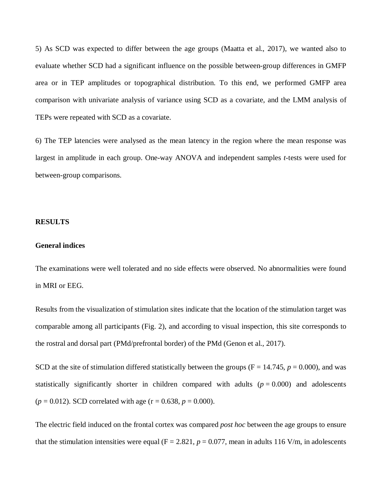5) As SCD was expected to differ between the age groups (Maatta et al., 2017), we wanted also to evaluate whether SCD had a significant influence on the possible between-group differences in GMFP area or in TEP amplitudes or topographical distribution. To this end, we performed GMFP area comparison with univariate analysis of variance using SCD as a covariate, and the LMM analysis of TEPs were repeated with SCD as a covariate.

6) The TEP latencies were analysed as the mean latency in the region where the mean response was largest in amplitude in each group. One-way ANOVA and independent samples *t*-tests were used for between-group comparisons.

#### **RESULTS**

### **General indices**

The examinations were well tolerated and no side effects were observed. No abnormalities were found in MRI or EEG.

Results from the visualization of stimulation sites indicate that the location of the stimulation target was comparable among all participants (Fig. 2), and according to visual inspection, this site corresponds to the rostral and dorsal part (PMd/prefrontal border) of the PMd (Genon et al., 2017).

SCD at the site of stimulation differed statistically between the groups ( $F = 14.745$ ,  $p = 0.000$ ), and was statistically significantly shorter in children compared with adults  $(p = 0.000)$  and adolescents  $(p = 0.012)$ . SCD correlated with age  $(r = 0.638, p = 0.000)$ .

The electric field induced on the frontal cortex was compared *post hoc* between the age groups to ensure that the stimulation intensities were equal ( $F = 2.821$ ,  $p = 0.077$ , mean in adults 116 V/m, in adolescents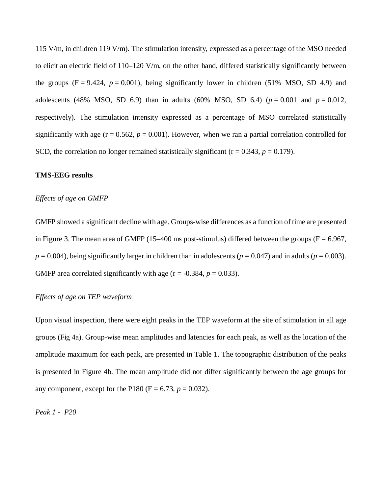115 V/m, in children 119 V/m). The stimulation intensity, expressed as a percentage of the MSO needed to elicit an electric field of  $110-120$  V/m, on the other hand, differed statistically significantly between the groups  $(F = 9.424, p = 0.001)$ , being significantly lower in children (51% MSO, SD 4.9) and adolescents (48% MSO, SD 6.9) than in adults (60% MSO, SD 6.4) ( $p = 0.001$  and  $p = 0.012$ , respectively). The stimulation intensity expressed as a percentage of MSO correlated statistically significantly with age  $(r = 0.562, p = 0.001)$ . However, when we ran a partial correlation controlled for SCD, the correlation no longer remained statistically significant  $(r = 0.343, p = 0.179)$ .

# **TMS-EEG results**

# *Effects of age on GMFP*

GMFP showed a significant decline with age. Groups-wise differences as a function of time are presented in Figure 3. The mean area of GMFP (15–400 ms post-stimulus) differed between the groups ( $F = 6.967$ ,  $p = 0.004$ ), being significantly larger in children than in adolescents ( $p = 0.047$ ) and in adults ( $p = 0.003$ ). GMFP area correlated significantly with age  $(r = -0.384, p = 0.033)$ .

#### *Effects of age on TEP waveform*

Upon visual inspection, there were eight peaks in the TEP waveform at the site of stimulation in all age groups (Fig 4a). Group-wise mean amplitudes and latencies for each peak, as well as the location of the amplitude maximum for each peak, are presented in Table 1. The topographic distribution of the peaks is presented in Figure 4b. The mean amplitude did not differ significantly between the age groups for any component, except for the P180 (F =  $6.73, p = 0.032$ ).

*Peak 1 - P20*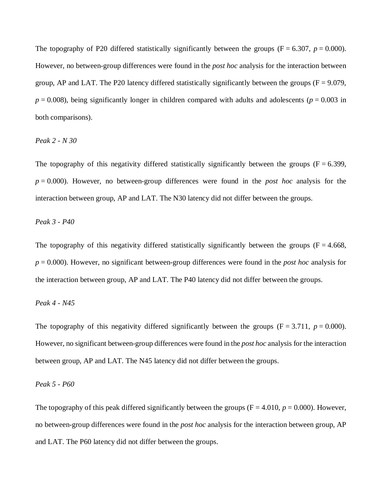The topography of P20 differed statistically significantly between the groups  $(F = 6.307, p = 0.000)$ . However, no between-group differences were found in the *post hoc* analysis for the interaction between group, AP and LAT. The P20 latency differed statistically significantly between the groups ( $F = 9.079$ ,  $p = 0.008$ ), being significantly longer in children compared with adults and adolescents ( $p = 0.003$  in both comparisons).

# *Peak 2 - N 30*

The topography of this negativity differed statistically significantly between the groups  $(F = 6.399,$ *p* = 0.000). However, no between-group differences were found in the *post hoc* analysis for the interaction between group, AP and LAT. The N30 latency did not differ between the groups.

### *Peak 3 - P40*

The topography of this negativity differed statistically significantly between the groups ( $F = 4.668$ , *p* = 0.000). However, no significant between-group differences were found in the *post hoc* analysis for the interaction between group, AP and LAT. The P40 latency did not differ between the groups.

# *Peak 4 - N45*

The topography of this negativity differed significantly between the groups  $(F = 3.711, p = 0.000)$ . However, no significant between-group differences were found in the *post hoc* analysis for the interaction between group, AP and LAT. The N45 latency did not differ between the groups.

# *Peak 5 - P60*

The topography of this peak differed significantly between the groups  $(F = 4.010, p = 0.000)$ . However, no between-group differences were found in the *post hoc* analysis for the interaction between group, AP and LAT. The P60 latency did not differ between the groups.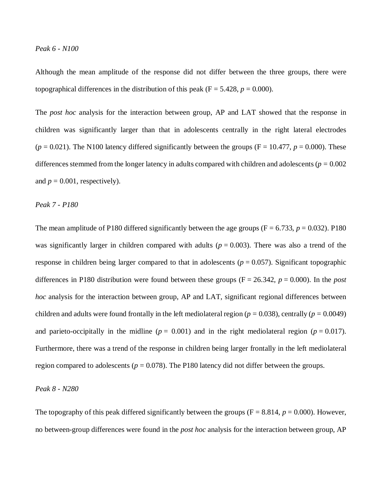Although the mean amplitude of the response did not differ between the three groups, there were topographical differences in the distribution of this peak ( $F = 5.428$ ,  $p = 0.000$ ).

The *post hoc* analysis for the interaction between group, AP and LAT showed that the response in children was significantly larger than that in adolescents centrally in the right lateral electrodes  $(p = 0.021)$ . The N100 latency differed significantly between the groups (F = 10.477,  $p = 0.000$ ). These differences stemmed from the longer latency in adults compared with children and adolescents ( $p = 0.002$ ) and  $p = 0.001$ , respectively).

*Peak 7 - P180*

The mean amplitude of P180 differed significantly between the age groups ( $F = 6.733$ ,  $p = 0.032$ ). P180 was significantly larger in children compared with adults  $(p = 0.003)$ . There was also a trend of the response in children being larger compared to that in adolescents  $(p = 0.057)$ . Significant topographic differences in P180 distribution were found between these groups (F = 26.342, *p* = 0.000). In the *post hoc* analysis for the interaction between group, AP and LAT, significant regional differences between children and adults were found frontally in the left mediolateral region ( $p = 0.038$ ), centrally ( $p = 0.0049$ ) and parieto-occipitally in the midline ( $p = 0.001$ ) and in the right mediolateral region ( $p = 0.017$ ). Furthermore, there was a trend of the response in children being larger frontally in the left mediolateral region compared to adolescents ( $p = 0.078$ ). The P180 latency did not differ between the groups.

*Peak 8 - N280*

The topography of this peak differed significantly between the groups  $(F = 8.814, p = 0.000)$ . However, no between-group differences were found in the *post hoc* analysis for the interaction between group, AP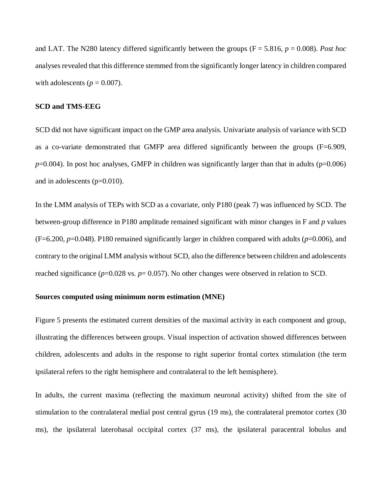and LAT. The N280 latency differed significantly between the groups (F = 5.816, *p* = 0.008). *Post hoc* analyses revealed that this difference stemmed from the significantly longer latency in children compared with adolescents ( $p = 0.007$ ).

# **SCD and TMS-EEG**

SCD did not have significant impact on the GMP area analysis. Univariate analysis of variance with SCD as a co-variate demonstrated that GMFP area differed significantly between the groups (F=6.909,  $p=0.004$ ). In post hoc analyses, GMFP in children was significantly larger than that in adults ( $p=0.006$ ) and in adolescents (p=0.010).

In the LMM analysis of TEPs with SCD as a covariate, only P180 (peak 7) was influenced by SCD. The between-group difference in P180 amplitude remained significant with minor changes in F and *p* values (F=6.200, *p*=0.048). P180 remained significantly larger in children compared with adults (*p*=0.006), and contrary to the original LMM analysis without SCD, also the difference between children and adolescents reached significance (*p*=0.028 vs. *p*= 0.057). No other changes were observed in relation to SCD.

#### **Sources computed using minimum norm estimation (MNE)**

Figure 5 presents the estimated current densities of the maximal activity in each component and group, illustrating the differences between groups. Visual inspection of activation showed differences between children, adolescents and adults in the response to right superior frontal cortex stimulation (the term ipsilateral refers to the right hemisphere and contralateral to the left hemisphere).

In adults, the current maxima (reflecting the maximum neuronal activity) shifted from the site of stimulation to the contralateral medial post central gyrus (19 ms), the contralateral premotor cortex (30 ms), the ipsilateral laterobasal occipital cortex (37 ms), the ipsilateral paracentral lobulus and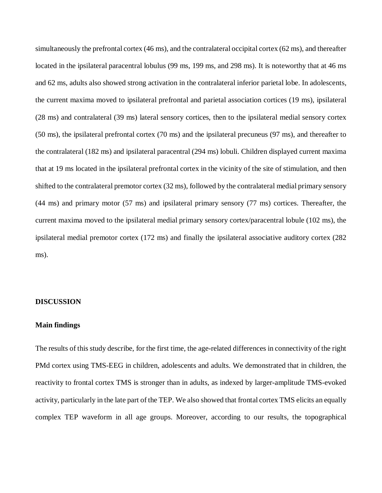simultaneously the prefrontal cortex (46 ms), and the contralateral occipital cortex (62 ms), and thereafter located in the ipsilateral paracentral lobulus (99 ms, 199 ms, and 298 ms). It is noteworthy that at 46 ms and 62 ms, adults also showed strong activation in the contralateral inferior parietal lobe. In adolescents, the current maxima moved to ipsilateral prefrontal and parietal association cortices (19 ms), ipsilateral (28 ms) and contralateral (39 ms) lateral sensory cortices, then to the ipsilateral medial sensory cortex (50 ms), the ipsilateral prefrontal cortex (70 ms) and the ipsilateral precuneus (97 ms), and thereafter to the contralateral (182 ms) and ipsilateral paracentral (294 ms) lobuli. Children displayed current maxima that at 19 ms located in the ipsilateral prefrontal cortex in the vicinity of the site of stimulation, and then shifted to the contralateral premotor cortex (32 ms), followed by the contralateral medial primary sensory (44 ms) and primary motor (57 ms) and ipsilateral primary sensory (77 ms) cortices. Thereafter, the current maxima moved to the ipsilateral medial primary sensory cortex/paracentral lobule (102 ms), the ipsilateral medial premotor cortex (172 ms) and finally the ipsilateral associative auditory cortex (282 ms).

# **DISCUSSION**

# **Main findings**

The results of this study describe, for the first time, the age-related differences in connectivity of the right PMd cortex using TMS-EEG in children, adolescents and adults. We demonstrated that in children, the reactivity to frontal cortex TMS is stronger than in adults, as indexed by larger-amplitude TMS-evoked activity, particularly in the late part of the TEP. We also showed that frontal cortex TMS elicits an equally complex TEP waveform in all age groups. Moreover, according to our results, the topographical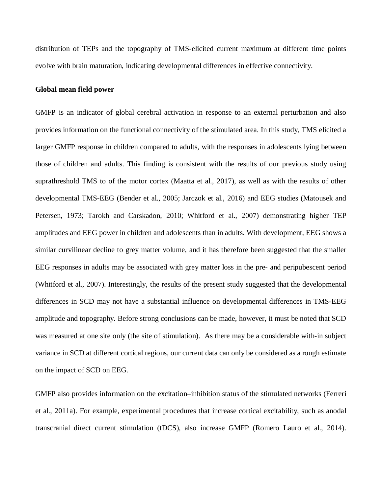distribution of TEPs and the topography of TMS-elicited current maximum at different time points evolve with brain maturation, indicating developmental differences in effective connectivity.

#### **Global mean field power**

GMFP is an indicator of global cerebral activation in response to an external perturbation and also provides information on the functional connectivity of the stimulated area. In this study, TMS elicited a larger GMFP response in children compared to adults, with the responses in adolescents lying between those of children and adults. This finding is consistent with the results of our previous study using suprathreshold TMS to of the motor cortex (Maatta et al., 2017), as well as with the results of other developmental TMS-EEG (Bender et al., 2005; Jarczok et al., 2016) and EEG studies (Matousek and Petersen, 1973; Tarokh and Carskadon, 2010; Whitford et al., 2007) demonstrating higher TEP amplitudes and EEG power in children and adolescents than in adults. With development, EEG shows a similar curvilinear decline to grey matter volume, and it has therefore been suggested that the smaller EEG responses in adults may be associated with grey matter loss in the pre- and peripubescent period (Whitford et al., 2007). Interestingly, the results of the present study suggested that the developmental differences in SCD may not have a substantial influence on developmental differences in TMS-EEG amplitude and topography. Before strong conclusions can be made, however, it must be noted that SCD was measured at one site only (the site of stimulation). As there may be a considerable with-in subject variance in SCD at different cortical regions, our current data can only be considered as a rough estimate on the impact of SCD on EEG.

GMFP also provides information on the excitation–inhibition status of the stimulated networks (Ferreri et al., 2011a). For example, experimental procedures that increase cortical excitability, such as anodal transcranial direct current stimulation (tDCS), also increase GMFP (Romero Lauro et al., 2014).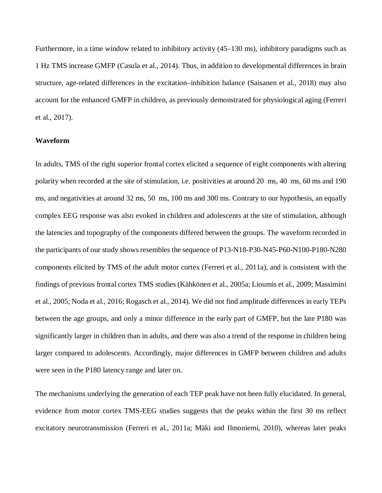Furthermore, in a time window related to inhibitory activity (45–130 ms), inhibitory paradigms such as 1 Hz TMS increase GMFP (Casula et al., 2014). Thus, in addition to developmental differences in brain structure, age-related differences in the excitation–inhibition balance (Saisanen et al., 2018) may also account for the enhanced GMFP in children, as previously demonstrated for physiological aging (Ferreri et al., 2017).

# **Waveform**

In adults, TMS of the right superior frontal cortex elicited a sequence of eight components with altering polarity when recorded at the site of stimulation, i.e. positivities at around 20 ms, 40 ms, 60 ms and 190 ms, and negativities at around 32 ms, 50 ms, 100 ms and 300 ms. Contrary to our hypothesis, an equally complex EEG response was also evoked in children and adolescents at the site of stimulation, although the latencies and topography of the components differed between the groups. The waveform recorded in the participants of our study shows resembles the sequence of P13-N18-P30-N45-P60-N100-P180-N280 components elicited by TMS of the adult motor cortex (Ferreri et al., 2011a), and is consistent with the findings of previous frontal cortex TMS studies (Kähkönen et al., 2005a; Lioumis et al., 2009; Massimini et al., 2005; Noda et al., 2016; Rogasch et al., 2014). We did not find amplitude differences in early TEPs between the age groups, and only a minor difference in the early part of GMFP, but the late P180 was significantly larger in children than in adults, and there was also a trend of the response in children being larger compared to adolescents. Accordingly, major differences in GMFP between children and adults were seen in the P180 latency range and later on.

The mechanisms underlying the generation of each TEP peak have not been fully elucidated. In general, evidence from motor cortex TMS-EEG studies suggests that the peaks within the first 30 ms reflect excitatory neurotransmission (Ferreri et al., 2011a; Mäki and Ilmoniemi, 2010), whereas later peaks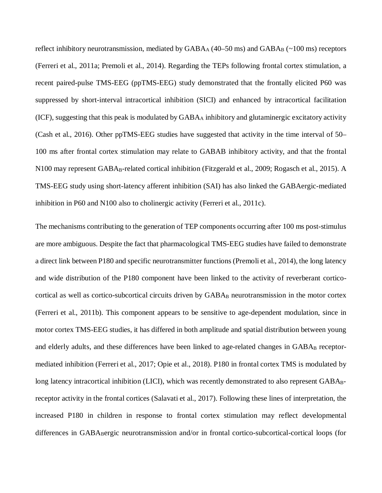reflect inhibitory neurotransmission, mediated by  $GABA_A$  (40–50 ms) and  $GABA_B$  (~100 ms) receptors (Ferreri et al., 2011a; Premoli et al., 2014). Regarding the TEPs following frontal cortex stimulation, a recent paired-pulse TMS-EEG (ppTMS-EEG) study demonstrated that the frontally elicited P60 was suppressed by short-interval intracortical inhibition (SICI) and enhanced by intracortical facilitation (ICF), suggesting that this peak is modulated by GABAA inhibitory and glutaminergic excitatory activity (Cash et al., 2016). Other ppTMS-EEG studies have suggested that activity in the time interval of 50– 100 ms after frontal cortex stimulation may relate to GABAB inhibitory activity, and that the frontal N100 may represent GABA<sub>B</sub>-related cortical inhibition (Fitzgerald et al., 2009; Rogasch et al., 2015). A TMS-EEG study using short-latency afferent inhibition (SAI) has also linked the GABAergic-mediated inhibition in P60 and N100 also to cholinergic activity (Ferreri et al., 2011c).

The mechanisms contributing to the generation of TEP components occurring after 100 ms post-stimulus are more ambiguous. Despite the fact that pharmacological TMS-EEG studies have failed to demonstrate a direct link between P180 and specific neurotransmitter functions (Premoli et al., 2014), the long latency and wide distribution of the P180 component have been linked to the activity of reverberant corticocortical as well as cortico-subcortical circuits driven by GABA<sub>B</sub> neurotransmission in the motor cortex (Ferreri et al., 2011b). This component appears to be sensitive to age-dependent modulation, since in motor cortex TMS-EEG studies, it has differed in both amplitude and spatial distribution between young and elderly adults, and these differences have been linked to age-related changes in GABA<sub>B</sub> receptormediated inhibition (Ferreri et al., 2017; Opie et al., 2018). P180 in frontal cortex TMS is modulated by long latency intracortical inhibition (LICI), which was recently demonstrated to also represent GABA<sub>B</sub>receptor activity in the frontal cortices (Salavati et al., 2017). Following these lines of interpretation, the increased P180 in children in response to frontal cortex stimulation may reflect developmental differences in GABA<sub>B</sub>ergic neurotransmission and/or in frontal cortico-subcortical-cortical loops (for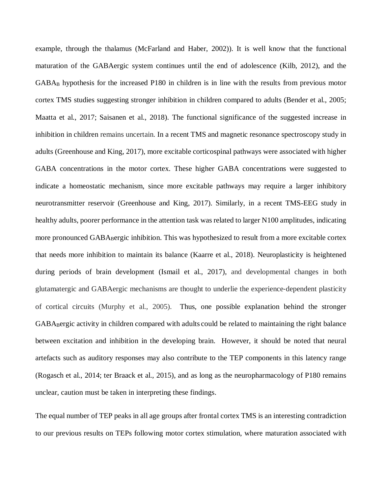example, through the thalamus (McFarland and Haber, 2002)). It is well know that the functional maturation of the GABAergic system continues until the end of adolescence (Kilb, 2012), and the GABAB hypothesis for the increased P180 in children is in line with the results from previous motor cortex TMS studies suggesting stronger inhibition in children compared to adults (Bender et al., 2005; Maatta et al., 2017; Saisanen et al., 2018). The functional significance of the suggested increase in inhibition in children remains uncertain. In a recent TMS and [magnetic resonance spectroscopy](https://www.sciencedirect.com/topics/psychology/magnetic-resonance-spectroscopy) study in adults (Greenhouse and King, 2017), more excitable corticospinal pathways were associated with higher GABA concentrations in the motor cortex. These higher GABA concentrations were suggested to indicate a homeostatic mechanism, since more excitable pathways may require a larger inhibitory neurotransmitter reservoir (Greenhouse and King, 2017). Similarly, in a recent TMS-EEG study in healthy adults, poorer performance in the attention task was related to larger N100 amplitudes, indicating more pronounced GABABergic inhibition. This was hypothesized to result from a more excitable cortex that needs more inhibition to maintain its balance (Kaarre et al., 2018). Neuroplasticity is heightened during periods of brain development (Ismail et al., 2017), and developmental changes in both glutamatergic and GABAergic mechanisms are thought to underlie the experience-dependent plasticity of cortical circuits (Murphy et al., 2005). Thus, one possible explanation behind the stronger GABABergic activity in children compared with adults could be related to maintaining the right balance between excitation and inhibition in the developing brain. However, it should be noted that neural artefacts such as auditory responses may also contribute to the TEP components in this latency range (Rogasch et al., 2014; ter Braack et al., 2015), and as long as the neuropharmacology of P180 remains unclear, caution must be taken in interpreting these findings.

The equal number of TEP peaks in all age groups after frontal cortex TMS is an interesting contradiction to our previous results on TEPs following motor cortex stimulation, where maturation associated with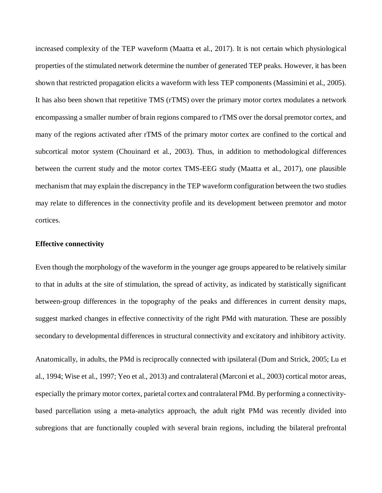increased complexity of the TEP waveform (Maatta et al., 2017). It is not certain which physiological properties of the stimulated network determine the number of generated TEP peaks. However, it has been shown that restricted propagation elicits a waveform with less TEP components (Massimini et al., 2005). It has also been shown that repetitive TMS (rTMS) over the primary motor cortex modulates a network encompassing a smaller number of brain regions compared to rTMS over the dorsal premotor cortex, and many of the regions activated after rTMS of the primary motor cortex are confined to the cortical and subcortical motor system (Chouinard et al., 2003). Thus, in addition to methodological differences between the current study and the motor cortex TMS-EEG study (Maatta et al., 2017), one plausible mechanism that may explain the discrepancy in the TEP waveform configuration between the two studies may relate to differences in the connectivity profile and its development between premotor and motor cortices.

### **Effective connectivity**

Even though the morphology of the waveform in the younger age groups appeared to be relatively similar to that in adults at the site of stimulation, the spread of activity, as indicated by statistically significant between-group differences in the topography of the peaks and differences in current density maps, suggest marked changes in effective connectivity of the right PMd with maturation. These are possibly secondary to developmental differences in structural connectivity and excitatory and inhibitory activity.

Anatomically, in adults, the PMd is reciprocally connected with ipsilateral (Dum and Strick, 2005; Lu et al., 1994; Wise et al., 1997; Yeo et al., 2013) and contralateral (Marconi et al., 2003) cortical motor areas, especially the primary motor cortex, parietal cortex and contralateral PMd. By performing a connectivitybased parcellation using a meta-analytics approach, the adult right PMd was recently divided into subregions that are functionally coupled with several brain regions, including the bilateral prefrontal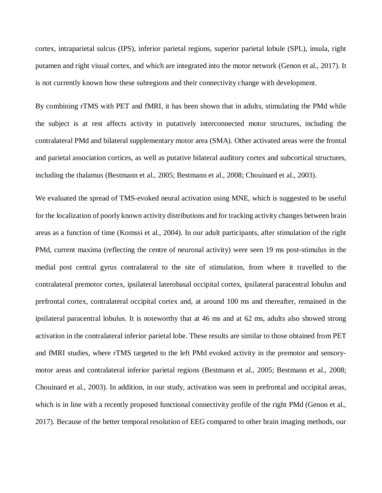cortex, intraparietal sulcus (IPS), inferior parietal regions, superior parietal lobule (SPL), insula, right putamen and right visual cortex, and which are integrated into the motor network (Genon et al., 2017). It is not currently known how these subregions and their connectivity change with development.

By combining rTMS with PET and fMRI, it has been shown that in adults, stimulating the PMd while the subject is at rest affects activity in putatively interconnected motor structures, including the contralateral PMd and bilateral supplementary motor area (SMA). Other activated areas were the frontal and parietal association cortices, as well as putative bilateral auditory cortex and subcortical structures, including the thalamus (Bestmann et al., 2005; Bestmann et al., 2008; Chouinard et al., 2003).

We evaluated the spread of TMS-evoked neural activation using MNE, which is suggested to be useful for the localization of poorly known activity distributions and for tracking activity changes between brain areas as a function of time (Komssi et al., 2004). In our adult participants, after stimulation of the right PMd, current maxima (reflecting the centre of neuronal activity) were seen 19 ms post-stimulus in the medial post central gyrus contralateral to the site of stimulation, from where it travelled to the contralateral premotor cortex, ipsilateral laterobasal occipital cortex, ipsilateral paracentral lobulus and prefrontal cortex, contralateral occipital cortex and, at around 100 ms and thereafter, remained in the ipsilateral paracentral lobulus. It is noteworthy that at 46 ms and at 62 ms, adults also showed strong activation in the contralateral inferior parietal lobe. These results are similar to those obtained from PET and fMRI studies, where rTMS targeted to the left PMd evoked activity in the premotor and sensorymotor areas and contralateral inferior parietal regions (Bestmann et al., 2005; Bestmann et al., 2008; Chouinard et al., 2003). In addition, in our study, activation was seen in prefrontal and occipital areas, which is in line with a recently proposed functional connectivity profile of the right PMd (Genon et al., 2017). Because of the better temporal resolution of EEG compared to other brain imaging methods, our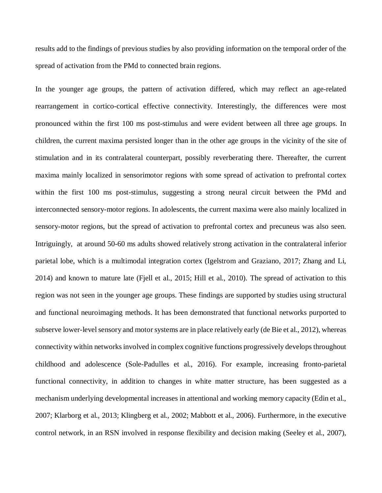results add to the findings of previous studies by also providing information on the temporal order of the spread of activation from the PMd to connected brain regions.

In the younger age groups, the pattern of activation differed, which may reflect an age-related rearrangement in cortico-cortical effective connectivity. Interestingly, the differences were most pronounced within the first 100 ms post-stimulus and were evident between all three age groups. In children, the current maxima persisted longer than in the other age groups in the vicinity of the site of stimulation and in its contralateral counterpart, possibly reverberating there. Thereafter, the current maxima mainly localized in sensorimotor regions with some spread of activation to prefrontal cortex within the first 100 ms post-stimulus, suggesting a strong neural circuit between the PMd and interconnected sensory-motor regions. In adolescents, the current maxima were also mainly localized in sensory-motor regions, but the spread of activation to prefrontal cortex and precuneus was also seen. Intriguingly, at around 50-60 ms adults showed relatively strong activation in the contralateral inferior parietal lobe, which is a multimodal integration cortex (Igelstrom and Graziano, 2017; Zhang and Li, 2014) and known to mature late (Fjell et al., 2015; Hill et al., 2010). The spread of activation to this region was not seen in the younger age groups. These findings are supported by studies using structural and functional neuroimaging methods. It has been demonstrated that functional networks purported to subserve lower-level sensory and motor systems are in place relatively early (de Bie et al., 2012), whereas connectivity within networks involved in complex cognitive functions progressively develops throughout childhood and adolescence (Sole-Padulles et al., 2016). For example, increasing fronto-parietal functional connectivity, in addition to changes in white matter structure, has been suggested as a mechanism underlying developmental increases in attentional and working memory capacity (Edin et al., 2007; Klarborg et al., 2013; Klingberg et al., 2002; Mabbott et al., 2006). Furthermore, in the executive control network, in an RSN involved in response flexibility and decision making (Seeley et al., 2007),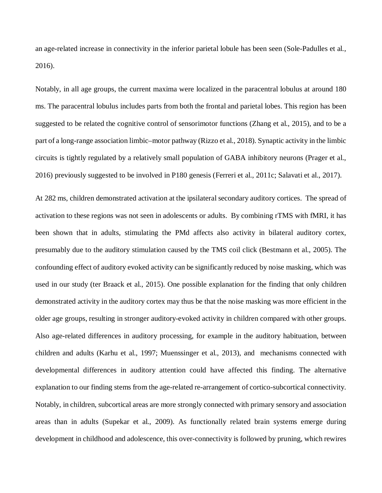an age-related increase in connectivity in the inferior parietal lobule has been seen (Sole-Padulles et al., 2016).

Notably, in all age groups, the current maxima were localized in the paracentral lobulus at around 180 ms. The paracentral lobulus includes parts from both the frontal and parietal lobes. This region has been suggested to be related the cognitive control of sensorimotor functions (Zhang et al., 2015), and to be a part of a long-range association limbic–motor pathway (Rizzo et al., 2018). Synaptic activity in the limbic circuits is tightly regulated by a relatively small population of GABA inhibitory neurons (Prager et al., 2016) previously suggested to be involved in P180 genesis (Ferreri et al., 2011c; Salavati et al., 2017).

At 282 ms, children demonstrated activation at the ipsilateral secondary auditory cortices. The spread of activation to these regions was not seen in adolescents or adults. By combining rTMS with fMRI, it has been shown that in adults, stimulating the PMd affects also activity in bilateral auditory cortex, presumably due to the auditory stimulation caused by the TMS coil click (Bestmann et al., 2005). The confounding effect of auditory evoked activity can be significantly reduced by noise masking, which was used in our study (ter Braack et al., 2015). One possible explanation for the finding that only children demonstrated activity in the auditory cortex may thus be that the noise masking was more efficient in the older age groups, resulting in stronger auditory-evoked activity in children compared with other groups. Also age-related differences in auditory processing, for example in the auditory habituation, between children and adults (Karhu et al., 1997; Muenssinger et al., 2013), and mechanisms connected with developmental differences in auditory attention could have affected this finding. The alternative explanation to our finding stems from the age-related re-arrangement of cortico-subcortical connectivity. Notably, in children, subcortical areas are more strongly connected with primary sensory and association areas than in adults (Supekar et al., 2009). As functionally related brain systems emerge during development in childhood and adolescence, this over-connectivity is followed by pruning, which rewires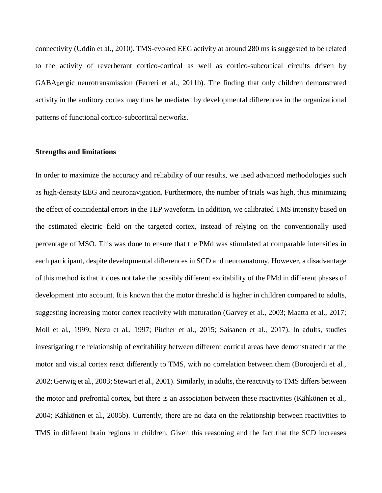connectivity (Uddin et al., 2010). TMS-evoked EEG activity at around 280 ms is suggested to be related to the activity of reverberant cortico-cortical as well as cortico-subcortical circuits driven by GABABergic neurotransmission (Ferreri et al., 2011b). The finding that only children demonstrated activity in the auditory cortex may thus be mediated by developmental differences in the organizational patterns of functional cortico-subcortical networks.

#### **Strengths and limitations**

In order to maximize the accuracy and reliability of our results, we used advanced methodologies such as high-density EEG and neuronavigation. Furthermore, the number of trials was high, thus minimizing the effect of coincidental errors in the TEP waveform. In addition, we calibrated TMS intensity based on the estimated electric field on the targeted cortex, instead of relying on the conventionally used percentage of MSO. This was done to ensure that the PMd was stimulated at comparable intensities in each participant, despite developmental differences in SCD and neuroanatomy. However, a disadvantage of this method is that it does not take the possibly different excitability of the PMd in different phases of development into account. It is known that the motor threshold is higher in children compared to adults, suggesting increasing motor cortex reactivity with maturation (Garvey et al., 2003; Maatta et al., 2017; Moll et al., 1999; Nezu et al., 1997; Pitcher et al., 2015; Saisanen et al., 2017). In adults, studies investigating the relationship of excitability between different cortical areas have demonstrated that the motor and visual cortex react differently to TMS, with no correlation between them (Boroojerdi et al., 2002; Gerwig et al., 2003; Stewart et al., 2001). Similarly, in adults, the reactivity to TMS differs between the motor and prefrontal cortex, but there is an association between these reactivities (Kähkönen et al., 2004; Kähkönen et al., 2005b). Currently, there are no data on the relationship between reactivities to TMS in different brain regions in children. Given this reasoning and the fact that the SCD increases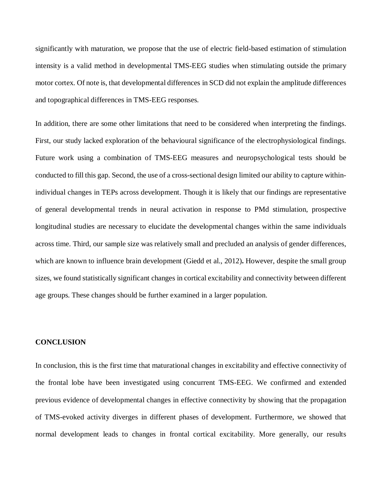significantly with maturation, we propose that the use of electric field-based estimation of stimulation intensity is a valid method in developmental TMS-EEG studies when stimulating outside the primary motor cortex. Of note is, that developmental differences in SCD did not explain the amplitude differences and topographical differences in TMS-EEG responses.

In addition, there are some other limitations that need to be considered when interpreting the findings. First, our study lacked exploration of the behavioural significance of the electrophysiological findings. Future work using a combination of TMS-EEG measures and neuropsychological tests should be conducted to fill this gap. Second, the use of a cross-sectional design limited our ability to capture withinindividual changes in TEPs across development. Though it is likely that our findings are representative of general developmental trends in neural activation in response to PMd stimulation, prospective longitudinal studies are necessary to elucidate the developmental changes within the same individuals across time. Third, our sample size was relatively small and precluded an analysis of gender differences, which are known to influence brain development (Giedd et al., 2012)**.** However, despite the small group sizes, we found statistically significant changes in cortical excitability and connectivity between different age groups. These changes should be further examined in a larger population.

# **CONCLUSION**

In conclusion, this is the first time that maturational changes in excitability and effective connectivity of the frontal lobe have been investigated using concurrent TMS-EEG. We confirmed and extended previous evidence of developmental changes in effective connectivity by showing that the propagation of TMS-evoked activity diverges in different phases of development. Furthermore, we showed that normal development leads to changes in frontal cortical excitability. More generally, our results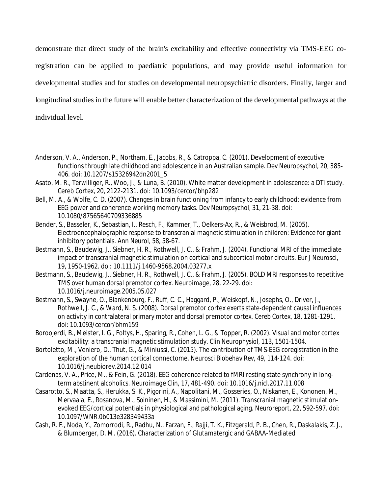demonstrate that direct study of the brain's excitability and effective connectivity via TMS-EEG coregistration can be applied to paediatric populations, and may provide useful information for developmental studies and for studies on developmental neuropsychiatric disorders. Finally, larger and longitudinal studies in the future will enable better characterization of the developmental pathways at the individual level.

- Anderson, V. A., Anderson, P., Northam, E., Jacobs, R., & Catroppa, C. (2001). Development of executive functions through late childhood and adolescence in an Australian sample. *Dev Neuropsychol, 20*, 385- 406. doi: 10.1207/s15326942dn2001\_5
- Asato, M. R., Terwilliger, R., Woo, J., & Luna, B. (2010). White matter development in adolescence: a DTI study. *Cereb Cortex, 20*, 2122-2131. doi: 10.1093/cercor/bhp282
- Bell, M. A., & Wolfe, C. D. (2007). Changes in brain functioning from infancy to early childhood: evidence from EEG power and coherence working memory tasks. *Dev Neuropsychol, 31*, 21-38. doi: 10.1080/87565640709336885
- Bender, S., Basseler, K., Sebastian, I., Resch, F., Kammer, T., Oelkers-Ax, R., & Weisbrod, M. (2005). Electroencephalographic response to transcranial magnetic stimulation in children: Evidence for giant inhibitory potentials. *Ann Neurol, 58*, 58-67.
- Bestmann, S., Baudewig, J., Siebner, H. R., Rothwell, J. C., & Frahm, J. (2004). Functional MRI of the immediate impact of transcranial magnetic stimulation on cortical and subcortical motor circuits. *Eur J Neurosci, 19*, 1950-1962. doi: 10.1111/j.1460-9568.2004.03277.x
- Bestmann, S., Baudewig, J., Siebner, H. R., Rothwell, J. C., & Frahm, J. (2005). BOLD MRI responses to repetitive TMS over human dorsal premotor cortex. *Neuroimage, 28*, 22-29. doi: 10.1016/j.neuroimage.2005.05.027
- Bestmann, S., Swayne, O., Blankenburg, F., Ruff, C. C., Haggard, P., Weiskopf, N., Josephs, O., Driver, J., Rothwell, J. C., & Ward, N. S. (2008). Dorsal premotor cortex exerts state-dependent causal influences on activity in contralateral primary motor and dorsal premotor cortex. *Cereb Cortex, 18*, 1281-1291. doi: 10.1093/cercor/bhm159
- Boroojerdi, B., Meister, I. G., Foltys, H., Sparing, R., Cohen, L. G., & Topper, R. (2002). Visual and motor cortex excitability: a transcranial magnetic stimulation study. *Clin Neurophysiol, 113*, 1501-1504.
- Bortoletto, M., Veniero, D., Thut, G., & Miniussi, C. (2015). The contribution of TMS-EEG coregistration in the exploration of the human cortical connectome. *Neurosci Biobehav Rev, 49*, 114-124. doi: 10.1016/j.neubiorev.2014.12.014
- Cardenas, V. A., Price, M., & Fein, G. (2018). EEG coherence related to fMRI resting state synchrony in longterm abstinent alcoholics. *Neuroimage Clin, 17*, 481-490. doi: 10.1016/j.nicl.2017.11.008
- Casarotto, S., Maatta, S., Herukka, S. K., Pigorini, A., Napolitani, M., Gosseries, O., Niskanen, E., Kononen, M., Mervaala, E., Rosanova, M., Soininen, H., & Massimini, M. (2011). Transcranial magnetic stimulationevoked EEG/cortical potentials in physiological and pathological aging. *Neuroreport, 22*, 592-597. doi: 10.1097/WNR.0b013e328349433a
- Cash, R. F., Noda, Y., Zomorrodi, R., Radhu, N., Farzan, F., Rajji, T. K., Fitzgerald, P. B., Chen, R., Daskalakis, Z. J., & Blumberger, D. M. (2016). Characterization of Glutamatergic and GABAA-Mediated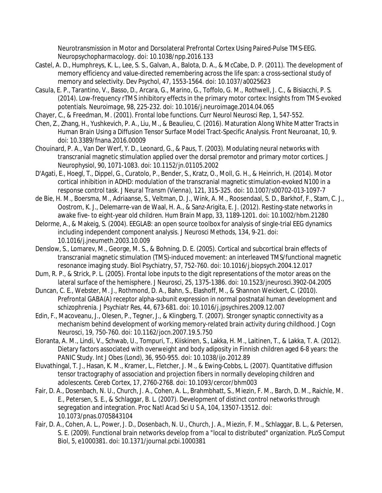Neurotransmission in Motor and Dorsolateral Prefrontal Cortex Using Paired-Pulse TMS-EEG. *Neuropsychopharmacology*. doi: 10.1038/npp.2016.133

- Castel, A. D., Humphreys, K. L., Lee, S. S., Galvan, A., Balota, D. A., & McCabe, D. P. (2011). The development of memory efficiency and value-directed remembering across the life span: a cross-sectional study of memory and selectivity. *Dev Psychol, 47*, 1553-1564. doi: 10.1037/a0025623
- Casula, E. P., Tarantino, V., Basso, D., Arcara, G., Marino, G., Toffolo, G. M., Rothwell, J. C., & Bisiacchi, P. S. (2014). Low-frequency rTMS inhibitory effects in the primary motor cortex: Insights from TMS-evoked potentials. *Neuroimage, 98*, 225-232. doi: 10.1016/j.neuroimage.2014.04.065
- Chayer, C., & Freedman, M. (2001). Frontal lobe functions. *Curr Neurol Neurosci Rep, 1*, 547-552.
- Chen, Z., Zhang, H., Yushkevich, P. A., Liu, M., & Beaulieu, C. (2016). Maturation Along White Matter Tracts in Human Brain Using a Diffusion Tensor Surface Model Tract-Specific Analysis. *Front Neuroanat, 10*, 9. doi: 10.3389/fnana.2016.00009
- Chouinard, P. A., Van Der Werf, Y. D., Leonard, G., & Paus, T. (2003). Modulating neural networks with transcranial magnetic stimulation applied over the dorsal premotor and primary motor cortices. *J Neurophysiol, 90*, 1071-1083. doi: 10.1152/jn.01105.2002
- D'Agati, E., Hoegl, T., Dippel, G., Curatolo, P., Bender, S., Kratz, O., Moll, G. H., & Heinrich, H. (2014). Motor cortical inhibition in ADHD: modulation of the transcranial magnetic stimulation-evoked N100 in a response control task. *J Neural Transm (Vienna), 121*, 315-325. doi: 10.1007/s00702-013-1097-7
- de Bie, H. M., Boersma, M., Adriaanse, S., Veltman, D. J., Wink, A. M., Roosendaal, S. D., Barkhof, F., Stam, C. J., Oostrom, K. J., Delemarre-van de Waal, H. A., & Sanz-Arigita, E. J. (2012). Resting-state networks in awake five- to eight-year old children. *Hum Brain Mapp, 33*, 1189-1201. doi: 10.1002/hbm.21280
- Delorme, A., & Makeig, S. (2004). EEGLAB: an open source toolbox for analysis of single-trial EEG dynamics including independent component analysis. *J Neurosci Methods, 134*, 9-21. doi: 10.1016/j.jneumeth.2003.10.009
- Denslow, S., Lomarev, M., George, M. S., & Bohning, D. E. (2005). Cortical and subcortical brain effects of transcranial magnetic stimulation (TMS)-induced movement: an interleaved TMS/functional magnetic resonance imaging study. *Biol Psychiatry, 57*, 752-760. doi: 10.1016/j.biopsych.2004.12.017
- Dum, R. P., & Strick, P. L. (2005). Frontal lobe inputs to the digit representations of the motor areas on the lateral surface of the hemisphere. *J Neurosci, 25*, 1375-1386. doi: 10.1523/jneurosci.3902-04.2005
- Duncan, C. E., Webster, M. J., Rothmond, D. A., Bahn, S., Elashoff, M., & Shannon Weickert, C. (2010). Prefrontal GABA(A) receptor alpha-subunit expression in normal postnatal human development and schizophrenia. *J Psychiatr Res, 44*, 673-681. doi: 10.1016/j.jpsychires.2009.12.007
- Edin, F., Macoveanu, J., Olesen, P., Tegner, J., & Klingberg, T. (2007). Stronger synaptic connectivity as a mechanism behind development of working memory-related brain activity during childhood. *J Cogn Neurosci, 19*, 750-760. doi: 10.1162/jocn.2007.19.5.750
- Eloranta, A. M., Lindi, V., Schwab, U., Tompuri, T., Kiiskinen, S., Lakka, H. M., Laitinen, T., & Lakka, T. A. (2012). Dietary factors associated with overweight and body adiposity in Finnish children aged 6-8 years: the PANIC Study. *Int J Obes (Lond), 36*, 950-955. doi: 10.1038/ijo.2012.89
- Eluvathingal, T. J., Hasan, K. M., Kramer, L., Fletcher, J. M., & Ewing-Cobbs, L. (2007). Quantitative diffusion tensor tractography of association and projection fibers in normally developing children and adolescents. *Cereb Cortex, 17*, 2760-2768. doi: 10.1093/cercor/bhm003
- Fair, D. A., Dosenbach, N. U., Church, J. A., Cohen, A. L., Brahmbhatt, S., Miezin, F. M., Barch, D. M., Raichle, M. E., Petersen, S. E., & Schlaggar, B. L. (2007). Development of distinct control networks through segregation and integration. *Proc Natl Acad Sci U S A, 104*, 13507-13512. doi: 10.1073/pnas.0705843104
- Fair, D. A., Cohen, A. L., Power, J. D., Dosenbach, N. U., Church, J. A., Miezin, F. M., Schlaggar, B. L., & Petersen, S. E. (2009). Functional brain networks develop from a "local to distributed" organization. *PLoS Comput Biol, 5*, e1000381. doi: 10.1371/journal.pcbi.1000381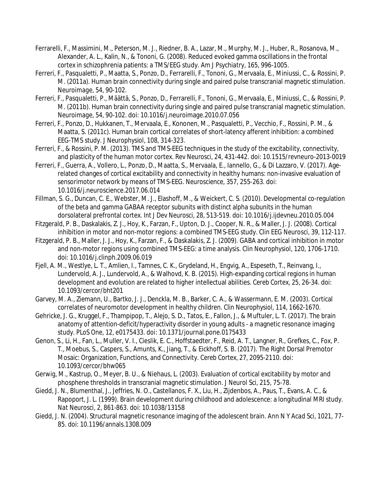- Ferrarelli, F., Massimini, M., Peterson, M. J., Riedner, B. A., Lazar, M., Murphy, M. J., Huber, R., Rosanova, M., Alexander, A. L., Kalin, N., & Tononi, G. (2008). Reduced evoked gamma oscillations in the frontal cortex in schizophrenia patients: a TMS/EEG study. *Am J Psychiatry, 165*, 996-1005.
- Ferreri, F., Pasqualetti, P., Maatta, S., Ponzo, D., Ferrarelli, F., Tononi, G., Mervaala, E., Miniussi, C., & Rossini, P. M. (2011a). Human brain connectivity during single and paired pulse transcranial magnetic stimulation. *Neuroimage, 54*, 90-102.
- Ferreri, F., Pasqualetti, P., Määttä, S., Ponzo, D., Ferrarelli, F., Tononi, G., Mervaala, E., Miniussi, C., & Rossini, P. M. (2011b). Human brain connectivity during single and paired pulse transcranial magnetic stimulation. *Neuroimage, 54*, 90-102. doi: 10.1016/j.neuroimage.2010.07.056
- Ferreri, F., Ponzo, D., Hukkanen, T., Mervaala, E., Kononen, M., Pasqualetti, P., Vecchio, F., Rossini, P. M., & Maatta, S. (2011c). Human brain cortical correlates of short-latency afferent inhibition: a combined EEG-TMS study. *J Neurophysiol, 108*, 314-323.
- Ferreri, F., & Rossini, P. M. (2013). TMS and TMS-EEG techniques in the study of the excitability, connectivity, and plasticity of the human motor cortex. *Rev Neurosci, 24*, 431-442. doi: 10.1515/revneuro-2013-0019
- Ferreri, F., Guerra, A., Vollero, L., Ponzo, D., Maatta, S., Mervaala, E., Iannello, G., & Di Lazzaro, V. (2017). Agerelated changes of cortical excitability and connectivity in healthy humans: non-invasive evaluation of sensorimotor network by means of TMS-EEG. *Neuroscience, 357*, 255-263. doi: 10.1016/j.neuroscience.2017.06.014
- Fillman, S. G., Duncan, C. E., Webster, M. J., Elashoff, M., & Weickert, C. S. (2010). Developmental co-regulation of the beta and gamma GABAA receptor subunits with distinct alpha subunits in the human dorsolateral prefrontal cortex. *Int J Dev Neurosci, 28*, 513-519. doi: 10.1016/j.ijdevneu.2010.05.004
- Fitzgerald, P. B., Daskalakis, Z. J., Hoy, K., Farzan, F., Upton, D. J., Cooper, N. R., & Maller, J. J. (2008). Cortical inhibition in motor and non-motor regions: a combined TMS-EEG study. *Clin EEG Neurosci, 39*, 112-117.
- Fitzgerald, P. B., Maller, J. J., Hoy, K., Farzan, F., & Daskalakis, Z. J. (2009). GABA and cortical inhibition in motor and non-motor regions using combined TMS-EEG: a time analysis. *Clin Neurophysiol, 120*, 1706-1710. doi: 10.1016/j.clinph.2009.06.019
- Fjell, A. M., Westlye, L. T., Amlien, I., Tamnes, C. K., Grydeland, H., Engvig, A., Espeseth, T., Reinvang, I., Lundervold, A. J., Lundervold, A., & Walhovd, K. B. (2015). High-expanding cortical regions in human development and evolution are related to higher intellectual abilities. *Cereb Cortex, 25*, 26-34. doi: 10.1093/cercor/bht201
- Garvey, M. A., Ziemann, U., Bartko, J. J., Denckla, M. B., Barker, C. A., & Wassermann, E. M. (2003). Cortical correlates of neuromotor development in healthy children. *Clin Neurophysiol, 114*, 1662-1670.
- Gehricke, J. G., Kruggel, F., Thampipop, T., Alejo, S. D., Tatos, E., Fallon, J., & Muftuler, L. T. (2017). The brain anatomy of attention-deficit/hyperactivity disorder in young adults - a magnetic resonance imaging study. *PLoS One, 12*, e0175433. doi: 10.1371/journal.pone.0175433
- Genon, S., Li, H., Fan, L., Muller, V. I., Cieslik, E. C., Hoffstaedter, F., Reid, A. T., Langner, R., Grefkes, C., Fox, P. T., Moebus, S., Caspers, S., Amunts, K., Jiang, T., & Eickhoff, S. B. (2017). The Right Dorsal Premotor Mosaic: Organization, Functions, and Connectivity. *Cereb Cortex, 27*, 2095-2110. doi: 10.1093/cercor/bhw065
- Gerwig, M., Kastrup, O., Meyer, B. U., & Niehaus, L. (2003). Evaluation of cortical excitability by motor and phosphene thresholds in transcranial magnetic stimulation. *J Neurol Sci, 215*, 75-78.
- Giedd, J. N., Blumenthal, J., Jeffries, N. O., Castellanos, F. X., Liu, H., Zijdenbos, A., Paus, T., Evans, A. C., & Rapoport, J. L. (1999). Brain development during childhood and adolescence: a longitudinal MRI study. *Nat Neurosci, 2*, 861-863. doi: 10.1038/13158
- Giedd, J. N. (2004). Structural magnetic resonance imaging of the adolescent brain. *Ann N Y Acad Sci, 1021*, 77- 85. doi: 10.1196/annals.1308.009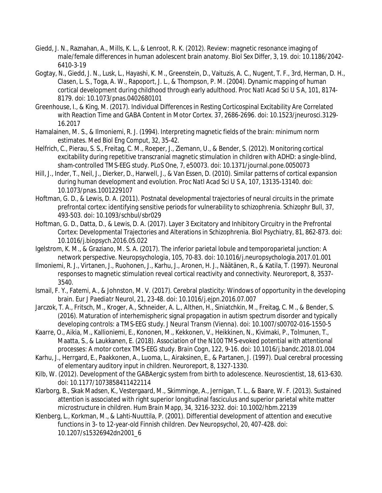- Giedd, J. N., Raznahan, A., Mills, K. L., & Lenroot, R. K. (2012). Review: magnetic resonance imaging of male/female differences in human adolescent brain anatomy. *Biol Sex Differ, 3*, 19. doi: 10.1186/2042- 6410-3-19
- Gogtay, N., Giedd, J. N., Lusk, L., Hayashi, K. M., Greenstein, D., Vaituzis, A. C., Nugent, T. F., 3rd, Herman, D. H., Clasen, L. S., Toga, A. W., Rapoport, J. L., & Thompson, P. M. (2004). Dynamic mapping of human cortical development during childhood through early adulthood. *Proc Natl Acad Sci U S A, 101*, 8174- 8179. doi: 10.1073/pnas.0402680101
- Greenhouse, I., & King, M. (2017). Individual Differences in Resting Corticospinal Excitability Are Correlated with Reaction Time and GABA Content in Motor Cortex. *37*, 2686-2696. doi: 10.1523/jneurosci.3129- 16.2017
- Hamalainen, M. S., & Ilmoniemi, R. J. (1994). Interpreting magnetic fields of the brain: minimum norm estimates. *Med Biol Eng Comput, 32*, 35-42.
- Helfrich, C., Pierau, S. S., Freitag, C. M., Roeper, J., Ziemann, U., & Bender, S. (2012). Monitoring cortical excitability during repetitive transcranial magnetic stimulation in children with ADHD: a single-blind, sham-controlled TMS-EEG study. *PLoS One, 7*, e50073. doi: 10.1371/journal.pone.0050073
- Hill, J., Inder, T., Neil, J., Dierker, D., Harwell, J., & Van Essen, D. (2010). Similar patterns of cortical expansion during human development and evolution. *Proc Natl Acad Sci U S A, 107*, 13135-13140. doi: 10.1073/pnas.1001229107
- Hoftman, G. D., & Lewis, D. A. (2011). Postnatal developmental trajectories of neural circuits in the primate prefrontal cortex: identifying sensitive periods for vulnerability to schizophrenia. *Schizophr Bull, 37*, 493-503. doi: 10.1093/schbul/sbr029
- Hoftman, G. D., Datta, D., & Lewis, D. A. (2017). Layer 3 Excitatory and Inhibitory Circuitry in the Prefrontal Cortex: Developmental Trajectories and Alterations in Schizophrenia. *Biol Psychiatry, 81*, 862-873. doi: 10.1016/j.biopsych.2016.05.022
- Igelstrom, K. M., & Graziano, M. S. A. (2017). The inferior parietal lobule and temporoparietal junction: A network perspective. *Neuropsychologia, 105*, 70-83. doi: 10.1016/j.neuropsychologia.2017.01.001
- Ilmoniemi, R. J., Virtanen, J., Ruohonen, J., Karhu, J., Aronen, H. J., Näätänen, R., & Katila, T. (1997). Neuronal responses to magnetic stimulation reveal cortical reactivity and connectivity. *Neuroreport, 8*, 3537- 3540.
- Ismail, F. Y., Fatemi, A., & Johnston, M. V. (2017). Cerebral plasticity: Windows of opportunity in the developing brain. *Eur J Paediatr Neurol, 21*, 23-48. doi: 10.1016/j.ejpn.2016.07.007
- Jarczok, T. A., Fritsch, M., Kroger, A., Schneider, A. L., Althen, H., Siniatchkin, M., Freitag, C. M., & Bender, S. (2016). Maturation of interhemispheric signal propagation in autism spectrum disorder and typically developing controls: a TMS-EEG study. *J Neural Transm (Vienna)*. doi: 10.1007/s00702-016-1550-5
- Kaarre, O., Aikia, M., Kallioniemi, E., Kononen, M., Kekkonen, V., Heikkinen, N., Kivimaki, P., Tolmunen, T., Maatta, S., & Laukkanen, E. (2018). Association of the N100 TMS-evoked potential with attentional processes: A motor cortex TMS-EEG study. *Brain Cogn, 122*, 9-16. doi: 10.1016/j.bandc.2018.01.004
- Karhu, J., Herrgard, E., Paakkonen, A., Luoma, L., Airaksinen, E., & Partanen, J. (1997). Dual cerebral processing of elementary auditory input in children. *Neuroreport, 8*, 1327-1330.
- Kilb, W. (2012). Development of the GABAergic system from birth to adolescence. *Neuroscientist, 18*, 613-630. doi: 10.1177/1073858411422114
- Klarborg, B., Skak Madsen, K., Vestergaard, M., Skimminge, A., Jernigan, T. L., & Baare, W. F. (2013). Sustained attention is associated with right superior longitudinal fasciculus and superior parietal white matter microstructure in children. *Hum Brain Mapp, 34*, 3216-3232. doi: 10.1002/hbm.22139
- Klenberg, L., Korkman, M., & Lahti-Nuuttila, P. (2001). Differential development of attention and executive functions in 3- to 12-year-old Finnish children. *Dev Neuropsychol, 20*, 407-428. doi: 10.1207/s15326942dn2001\_6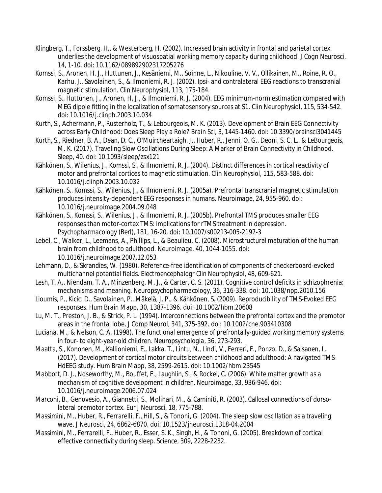- Klingberg, T., Forssberg, H., & Westerberg, H. (2002). Increased brain activity in frontal and parietal cortex underlies the development of visuospatial working memory capacity during childhood. *J Cogn Neurosci, 14*, 1-10. doi: 10.1162/089892902317205276
- Komssi, S., Aronen, H. J., Huttunen, J., Kesäniemi, M., Soinne, L., Nikouline, V. V., Ollikainen, M., Roine, R. O., Karhu, J., Savolainen, S., & Ilmoniemi, R. J. (2002). Ipsi- and contralateral EEG reactions to transcranial magnetic stimulation. *Clin Neurophysiol, 113*, 175-184.
- Komssi, S., Huttunen, J., Aronen, H. J., & Ilmoniemi, R. J. (2004). EEG minimum-norm estimation compared with MEG dipole fitting in the localization of somatosensory sources at S1. *Clin Neurophysiol, 115*, 534-542. doi: 10.1016/j.clinph.2003.10.034
- Kurth, S., Achermann, P., Rusterholz, T., & Lebourgeois, M. K. (2013). Development of Brain EEG Connectivity across Early Childhood: Does Sleep Play a Role? *Brain Sci, 3*, 1445-1460. doi: 10.3390/brainsci3041445
- Kurth, S., Riedner, B. A., Dean, D. C., O'Muircheartaigh, J., Huber, R., Jenni, O. G., Deoni, S. C. L., & LeBourgeois, M. K. (2017). Traveling Slow Oscillations During Sleep: A Marker of Brain Connectivity in Childhood. *Sleep, 40*. doi: 10.1093/sleep/zsx121
- Kähkönen, S., Wilenius, J., Komssi, S., & Ilmoniemi, R. J. (2004). Distinct differences in cortical reactivity of motor and prefrontal cortices to magnetic stimulation. *Clin Neurophysiol, 115*, 583-588. doi: 10.1016/j.clinph.2003.10.032
- Kähkönen, S., Komssi, S., Wilenius, J., & Ilmoniemi, R. J. (2005a). Prefrontal transcranial magnetic stimulation produces intensity-dependent EEG responses in humans. *Neuroimage, 24*, 955-960. doi: 10.1016/j.neuroimage.2004.09.048
- Kähkönen, S., Komssi, S., Wilenius, J., & Ilmoniemi, R. J. (2005b). Prefrontal TMS produces smaller EEG responses than motor-cortex TMS: implications for rTMS treatment in depression. *Psychopharmacology (Berl), 181*, 16-20. doi: 10.1007/s00213-005-2197-3
- Lebel, C., Walker, L., Leemans, A., Phillips, L., & Beaulieu, C. (2008). Microstructural maturation of the human brain from childhood to adulthood. *Neuroimage, 40*, 1044-1055. doi: 10.1016/j.neuroimage.2007.12.053
- Lehmann, D., & Skrandies, W. (1980). Reference-free identification of components of checkerboard-evoked multichannel potential fields. *Electroencephalogr Clin Neurophysiol, 48*, 609-621.
- Lesh, T. A., Niendam, T. A., Minzenberg, M. J., & Carter, C. S. (2011). Cognitive control deficits in schizophrenia: mechanisms and meaning. *Neuropsychopharmacology, 36*, 316-338. doi: 10.1038/npp.2010.156
- Lioumis, P., Kicic, D., Savolainen, P., Mäkelä, J. P., & Kähkönen, S. (2009). Reproducibility of TMS-Evoked EEG responses. *Hum Brain Mapp, 30*, 1387-1396. doi: 10.1002/hbm.20608
- Lu, M. T., Preston, J. B., & Strick, P. L. (1994). Interconnections between the prefrontal cortex and the premotor areas in the frontal lobe. *J Comp Neurol, 341*, 375-392. doi: 10.1002/cne.903410308
- Luciana, M., & Nelson, C. A. (1998). The functional emergence of prefrontally-guided working memory systems in four- to eight-year-old children. *Neuropsychologia, 36*, 273-293.
- Maatta, S., Kononen, M., Kallioniemi, E., Lakka, T., Lintu, N., Lindi, V., Ferreri, F., Ponzo, D., & Saisanen, L. (2017). Development of cortical motor circuits between childhood and adulthood: A navigated TMS-HdEEG study. *Hum Brain Mapp, 38*, 2599-2615. doi: 10.1002/hbm.23545
- Mabbott, D. J., Noseworthy, M., Bouffet, E., Laughlin, S., & Rockel, C. (2006). White matter growth as a mechanism of cognitive development in children. *Neuroimage, 33*, 936-946. doi: 10.1016/j.neuroimage.2006.07.024
- Marconi, B., Genovesio, A., Giannetti, S., Molinari, M., & Caminiti, R. (2003). Callosal connections of dorsolateral premotor cortex. *Eur J Neurosci, 18*, 775-788.
- Massimini, M., Huber, R., Ferrarelli, F., Hill, S., & Tononi, G. (2004). The sleep slow oscillation as a traveling wave. *J Neurosci, 24*, 6862-6870. doi: 10.1523/jneurosci.1318-04.2004
- Massimini, M., Ferrarelli, F., Huber, R., Esser, S. K., Singh, H., & Tononi, G. (2005). Breakdown of cortical effective connectivity during sleep. *Science, 309*, 2228-2232.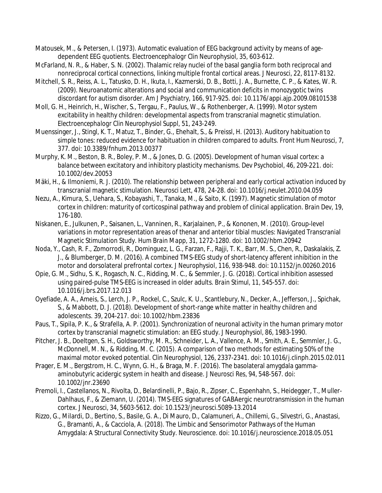- Matousek, M., & Petersen, I. (1973). Automatic evaluation of EEG background activity by means of agedependent EEG quotients. *Electroencephalogr Clin Neurophysiol, 35*, 603-612.
- McFarland, N. R., & Haber, S. N. (2002). Thalamic relay nuclei of the basal ganglia form both reciprocal and nonreciprocal cortical connections, linking multiple frontal cortical areas. *J Neurosci, 22*, 8117-8132.
- Mitchell, S. R., Reiss, A. L., Tatusko, D. H., Ikuta, I., Kazmerski, D. B., Botti, J. A., Burnette, C. P., & Kates, W. R. (2009). Neuroanatomic alterations and social and communication deficits in monozygotic twins discordant for autism disorder. *Am J Psychiatry, 166*, 917-925. doi: 10.1176/appi.ajp.2009.08101538
- Moll, G. H., Heinrich, H., Wischer, S., Tergau, F., Paulus, W., & Rothenberger, A. (1999). Motor system excitability in healthy children: developmental aspects from transcranial magnetic stimulation. *Electroencephalogr Clin Neurophysiol Suppl, 51*, 243-249.
- Muenssinger, J., Stingl, K. T., Matuz, T., Binder, G., Ehehalt, S., & Preissl, H. (2013). Auditory habituation to simple tones: reduced evidence for habituation in children compared to adults. *Front Hum Neurosci, 7*, 377. doi: 10.3389/fnhum.2013.00377
- Murphy, K. M., Beston, B. R., Boley, P. M., & Jones, D. G. (2005). Development of human visual cortex: a balance between excitatory and inhibitory plasticity mechanisms. *Dev Psychobiol, 46*, 209-221. doi: 10.1002/dev.20053
- Mäki, H., & Ilmoniemi, R. J. (2010). The relationship between peripheral and early cortical activation induced by transcranial magnetic stimulation. *Neurosci Lett, 478*, 24-28. doi: 10.1016/j.neulet.2010.04.059
- Nezu, A., Kimura, S., Uehara, S., Kobayashi, T., Tanaka, M., & Saito, K. (1997). Magnetic stimulation of motor cortex in children: maturity of corticospinal pathway and problem of clinical application. *Brain Dev, 19*, 176-180.
- Niskanen, E., Julkunen, P., Saisanen, L., Vanninen, R., Karjalainen, P., & Kononen, M. (2010). Group-level variations in motor representation areas of thenar and anterior tibial muscles: Navigated Transcranial Magnetic Stimulation Study. *Hum Brain Mapp, 31*, 1272-1280. doi: 10.1002/hbm.20942
- Noda, Y., Cash, R. F., Zomorrodi, R., Dominguez, L. G., Farzan, F., Rajji, T. K., Barr, M. S., Chen, R., Daskalakis, Z. J., & Blumberger, D. M. (2016). A combined TMS-EEG study of short-latency afferent inhibition in the motor and dorsolateral prefrontal cortex. *J Neurophysiol, 116*, 938-948. doi: 10.1152/jn.00260.2016
- Opie, G. M., Sidhu, S. K., Rogasch, N. C., Ridding, M. C., & Semmler, J. G. (2018). Cortical inhibition assessed using paired-pulse TMS-EEG is increased in older adults. *Brain Stimul, 11*, 545-557. doi: 10.1016/j.brs.2017.12.013
- Oyefiade, A. A., Ameis, S., Lerch, J. P., Rockel, C., Szulc, K. U., Scantlebury, N., Decker, A., Jefferson, J., Spichak, S., & Mabbott, D. J. (2018). Development of short-range white matter in healthy children and adolescents. *39*, 204-217. doi: 10.1002/hbm.23836
- Paus, T., Sipila, P. K., & Strafella, A. P. (2001). Synchronization of neuronal activity in the human primary motor cortex by transcranial magnetic stimulation: an EEG study. *J Neurophysiol, 86*, 1983-1990.
- Pitcher, J. B., Doeltgen, S. H., Goldsworthy, M. R., Schneider, L. A., Vallence, A. M., Smith, A. E., Semmler, J. G., McDonnell, M. N., & Ridding, M. C. (2015). A comparison of two methods for estimating 50% of the maximal motor evoked potential. *Clin Neurophysiol, 126*, 2337-2341. doi: 10.1016/j.clinph.2015.02.011
- Prager, E. M., Bergstrom, H. C., Wynn, G. H., & Braga, M. F. (2016). The basolateral amygdala gammaaminobutyric acidergic system in health and disease. *J Neurosci Res, 94*, 548-567. doi: 10.1002/jnr.23690
- Premoli, I., Castellanos, N., Rivolta, D., Belardinelli, P., Bajo, R., Zipser, C., Espenhahn, S., Heidegger, T., Muller-Dahlhaus, F., & Ziemann, U. (2014). TMS-EEG signatures of GABAergic neurotransmission in the human cortex. *J Neurosci, 34*, 5603-5612. doi: 10.1523/jneurosci.5089-13.2014
- Rizzo, G., Milardi, D., Bertino, S., Basile, G. A., Di Mauro, D., Calamuneri, A., Chillemi, G., Silvestri, G., Anastasi, G., Bramanti, A., & Cacciola, A. (2018). The Limbic and Sensorimotor Pathways of the Human Amygdala: A Structural Connectivity Study. *Neuroscience*. doi: 10.1016/j.neuroscience.2018.05.051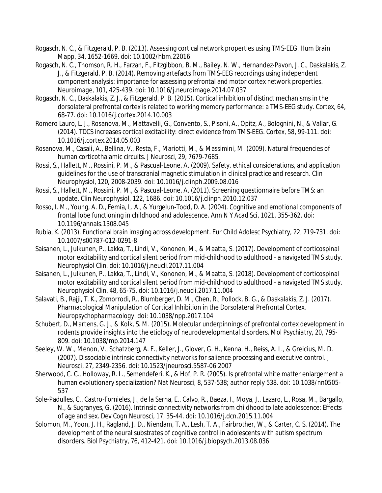- Rogasch, N. C., & Fitzgerald, P. B. (2013). Assessing cortical network properties using TMS-EEG. *Hum Brain Mapp, 34*, 1652-1669. doi: 10.1002/hbm.22016
- Rogasch, N. C., Thomson, R. H., Farzan, F., Fitzgibbon, B. M., Bailey, N. W., Hernandez-Pavon, J. C., Daskalakis, Z. J., & Fitzgerald, P. B. (2014). Removing artefacts from TMS-EEG recordings using independent component analysis: importance for assessing prefrontal and motor cortex network properties. *Neuroimage, 101*, 425-439. doi: 10.1016/j.neuroimage.2014.07.037
- Rogasch, N. C., Daskalakis, Z. J., & Fitzgerald, P. B. (2015). Cortical inhibition of distinct mechanisms in the dorsolateral prefrontal cortex is related to working memory performance: a TMS-EEG study. *Cortex, 64*, 68-77. doi: 10.1016/j.cortex.2014.10.003
- Romero Lauro, L. J., Rosanova, M., Mattavelli, G., Convento, S., Pisoni, A., Opitz, A., Bolognini, N., & Vallar, G. (2014). TDCS increases cortical excitability: direct evidence from TMS-EEG. *Cortex, 58*, 99-111. doi: 10.1016/j.cortex.2014.05.003
- Rosanova, M., Casali, A., Bellina, V., Resta, F., Mariotti, M., & Massimini, M. (2009). Natural frequencies of human corticothalamic circuits. *J Neurosci, 29*, 7679-7685.
- Rossi, S., Hallett, M., Rossini, P. M., & Pascual-Leone, A. (2009). Safety, ethical considerations, and application guidelines for the use of transcranial magnetic stimulation in clinical practice and research. *Clin Neurophysiol, 120*, 2008-2039. doi: 10.1016/j.clinph.2009.08.016
- Rossi, S., Hallett, M., Rossini, P. M., & Pascual-Leone, A. (2011). Screening questionnaire before TMS: an update. *Clin Neurophysiol, 122*, 1686. doi: 10.1016/j.clinph.2010.12.037
- Rosso, I. M., Young, A. D., Femia, L. A., & Yurgelun-Todd, D. A. (2004). Cognitive and emotional components of frontal lobe functioning in childhood and adolescence. *Ann N Y Acad Sci, 1021*, 355-362. doi: 10.1196/annals.1308.045
- Rubia, K. (2013). Functional brain imaging across development. *Eur Child Adolesc Psychiatry, 22*, 719-731. doi: 10.1007/s00787-012-0291-8
- Saisanen, L., Julkunen, P., Lakka, T., Lindi, V., Kononen, M., & Maatta, S. (2017). Development of corticospinal motor excitability and cortical silent period from mid-childhood to adulthood - a navigated TMS study. *Neurophysiol Clin*. doi: 10.1016/j.neucli.2017.11.004
- Saisanen, L., Julkunen, P., Lakka, T., Lindi, V., Kononen, M., & Maatta, S. (2018). Development of corticospinal motor excitability and cortical silent period from mid-childhood to adulthood - a navigated TMS study. *Neurophysiol Clin, 48*, 65-75. doi: 10.1016/j.neucli.2017.11.004
- Salavati, B., Rajji, T. K., Zomorrodi, R., Blumberger, D. M., Chen, R., Pollock, B. G., & Daskalakis, Z. J. (2017). Pharmacological Manipulation of Cortical Inhibition in the Dorsolateral Prefrontal Cortex. *Neuropsychopharmacology*. doi: 10.1038/npp.2017.104
- Schubert, D., Martens, G. J., & Kolk, S. M. (2015). Molecular underpinnings of prefrontal cortex development in rodents provide insights into the etiology of neurodevelopmental disorders. *Mol Psychiatry, 20*, 795- 809. doi: 10.1038/mp.2014.147
- Seeley, W. W., Menon, V., Schatzberg, A. F., Keller, J., Glover, G. H., Kenna, H., Reiss, A. L., & Greicius, M. D. (2007). Dissociable intrinsic connectivity networks for salience processing and executive control. *J Neurosci, 27*, 2349-2356. doi: 10.1523/jneurosci.5587-06.2007
- Sherwood, C. C., Holloway, R. L., Semendeferi, K., & Hof, P. R. (2005). Is prefrontal white matter enlargement a human evolutionary specialization? *Nat Neurosci, 8*, 537-538; author reply 538. doi: 10.1038/nn0505- 537
- Sole-Padulles, C., Castro-Fornieles, J., de la Serna, E., Calvo, R., Baeza, I., Moya, J., Lazaro, L., Rosa, M., Bargallo, N., & Sugranyes, G. (2016). Intrinsic connectivity networks from childhood to late adolescence: Effects of age and sex. *Dev Cogn Neurosci, 17*, 35-44. doi: 10.1016/j.dcn.2015.11.004
- Solomon, M., Yoon, J. H., Ragland, J. D., Niendam, T. A., Lesh, T. A., Fairbrother, W., & Carter, C. S. (2014). The development of the neural substrates of cognitive control in adolescents with autism spectrum disorders. *Biol Psychiatry, 76*, 412-421. doi: 10.1016/j.biopsych.2013.08.036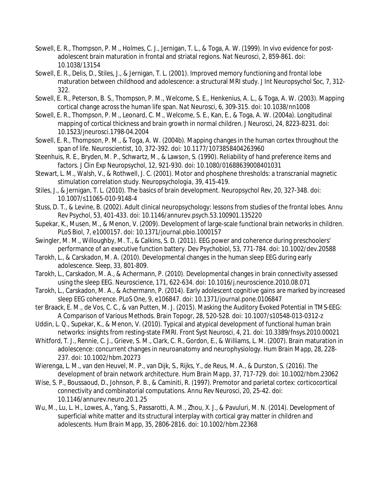- Sowell, E. R., Thompson, P. M., Holmes, C. J., Jernigan, T. L., & Toga, A. W. (1999). In vivo evidence for postadolescent brain maturation in frontal and striatal regions. *Nat Neurosci, 2*, 859-861. doi: 10.1038/13154
- Sowell, E. R., Delis, D., Stiles, J., & Jernigan, T. L. (2001). Improved memory functioning and frontal lobe maturation between childhood and adolescence: a structural MRI study. *J Int Neuropsychol Soc, 7*, 312- 322.
- Sowell, E. R., Peterson, B. S., Thompson, P. M., Welcome, S. E., Henkenius, A. L., & Toga, A. W. (2003). Mapping cortical change across the human life span. *Nat Neurosci, 6*, 309-315. doi: 10.1038/nn1008
- Sowell, E. R., Thompson, P. M., Leonard, C. M., Welcome, S. E., Kan, E., & Toga, A. W. (2004a). Longitudinal mapping of cortical thickness and brain growth in normal children. *J Neurosci, 24*, 8223-8231. doi: 10.1523/jneurosci.1798-04.2004
- Sowell, E. R., Thompson, P. M., & Toga, A. W. (2004b). Mapping changes in the human cortex throughout the span of life. *Neuroscientist, 10*, 372-392. doi: 10.1177/1073858404263960
- Steenhuis, R. E., Bryden, M. P., Schwartz, M., & Lawson, S. (1990). Reliability of hand preference items and factors. *J Clin Exp Neuropsychol, 12*, 921-930. doi: 10.1080/01688639008401031
- Stewart, L. M., Walsh, V., & Rothwell, J. C. (2001). Motor and phosphene thresholds: a transcranial magnetic stimulation correlation study. *Neuropsychologia, 39*, 415-419.
- Stiles, J., & Jernigan, T. L. (2010). The basics of brain development. *Neuropsychol Rev, 20*, 327-348. doi: 10.1007/s11065-010-9148-4
- Stuss, D. T., & Levine, B. (2002). Adult clinical neuropsychology: lessons from studies of the frontal lobes. *Annu Rev Psychol, 53*, 401-433. doi: 10.1146/annurev.psych.53.100901.135220
- Supekar, K., Musen, M., & Menon, V. (2009). Development of large-scale functional brain networks in children. *PLoS Biol, 7*, e1000157. doi: 10.1371/journal.pbio.1000157
- Swingler, M. M., Willoughby, M. T., & Calkins, S. D. (2011). EEG power and coherence during preschoolers' performance of an executive function battery. *Dev Psychobiol, 53*, 771-784. doi: 10.1002/dev.20588
- Tarokh, L., & Carskadon, M. A. (2010). Developmental changes in the human sleep EEG during early adolescence. *Sleep, 33*, 801-809.
- Tarokh, L., Carskadon, M. A., & Achermann, P. (2010). Developmental changes in brain connectivity assessed using the sleep EEG. *Neuroscience, 171*, 622-634. doi: 10.1016/j.neuroscience.2010.08.071
- Tarokh, L., Carskadon, M. A., & Achermann, P. (2014). Early adolescent cognitive gains are marked by increased sleep EEG coherence. *PLoS One, 9*, e106847. doi: 10.1371/journal.pone.0106847
- ter Braack, E. M., de Vos, C. C., & van Putten, M. J. (2015). Masking the Auditory Evoked Potential in TMS-EEG: A Comparison of Various Methods. *Brain Topogr, 28*, 520-528. doi: 10.1007/s10548-013-0312-z
- Uddin, L. Q., Supekar, K., & Menon, V. (2010). Typical and atypical development of functional human brain networks: insights from resting-state FMRI. *Front Syst Neurosci, 4*, 21. doi: 10.3389/fnsys.2010.00021
- Whitford, T. J., Rennie, C. J., Grieve, S. M., Clark, C. R., Gordon, E., & Williams, L. M. (2007). Brain maturation in adolescence: concurrent changes in neuroanatomy and neurophysiology. *Hum Brain Mapp, 28*, 228- 237. doi: 10.1002/hbm.20273
- Wierenga, L. M., van den Heuvel, M. P., van Dijk, S., Rijks, Y., de Reus, M. A., & Durston, S. (2016). The development of brain network architecture. *Hum Brain Mapp, 37*, 717-729. doi: 10.1002/hbm.23062
- Wise, S. P., Boussaoud, D., Johnson, P. B., & Caminiti, R. (1997). Premotor and parietal cortex: corticocortical connectivity and combinatorial computations. *Annu Rev Neurosci, 20*, 25-42. doi: 10.1146/annurev.neuro.20.1.25
- Wu, M., Lu, L. H., Lowes, A., Yang, S., Passarotti, A. M., Zhou, X. J., & Pavuluri, M. N. (2014). Development of superficial white matter and its structural interplay with cortical gray matter in children and adolescents. *Hum Brain Mapp, 35*, 2806-2816. doi: 10.1002/hbm.22368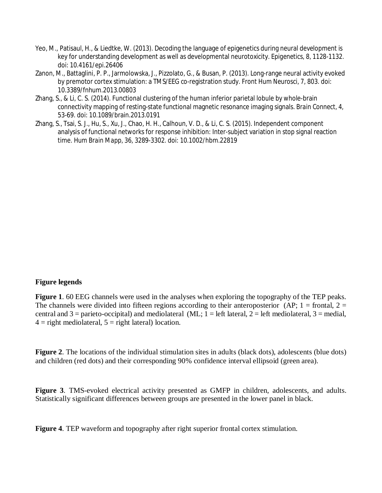- Yeo, M., Patisaul, H., & Liedtke, W. (2013). Decoding the language of epigenetics during neural development is key for understanding development as well as developmental neurotoxicity. *Epigenetics, 8*, 1128-1132. doi: 10.4161/epi.26406
- Zanon, M., Battaglini, P. P., Jarmolowska, J., Pizzolato, G., & Busan, P. (2013). Long-range neural activity evoked by premotor cortex stimulation: a TMS/EEG co-registration study. *Front Hum Neurosci, 7*, 803. doi: 10.3389/fnhum.2013.00803
- Zhang, S., & Li, C. S. (2014). Functional clustering of the human inferior parietal lobule by whole-brain connectivity mapping of resting-state functional magnetic resonance imaging signals. *Brain Connect, 4*, 53-69. doi: 10.1089/brain.2013.0191
- Zhang, S., Tsai, S. J., Hu, S., Xu, J., Chao, H. H., Calhoun, V. D., & Li, C. S. (2015). Independent component analysis of functional networks for response inhibition: Inter-subject variation in stop signal reaction time. *Hum Brain Mapp, 36*, 3289-3302. doi: 10.1002/hbm.22819

# **Figure legends**

**Figure 1**. 60 EEG channels were used in the analyses when exploring the topography of the TEP peaks. The channels were divided into fifteen regions according to their anteroposterior (AP;  $1 =$  frontal,  $2 =$ central and  $3 =$  parieto-occipital) and mediolateral (ML;  $1 =$  left lateral,  $2 =$  left mediolateral,  $3 =$  medial,  $4 =$  right mediolateral,  $5 =$  right lateral) location.

**Figure 2**. The locations of the individual stimulation sites in adults (black dots), adolescents (blue dots) and children (red dots) and their corresponding 90% confidence interval ellipsoid (green area).

**Figure 3**. TMS-evoked electrical activity presented as GMFP in children, adolescents, and adults. Statistically significant differences between groups are presented in the lower panel in black.

**Figure 4**. TEP waveform and topography after right superior frontal cortex stimulation.